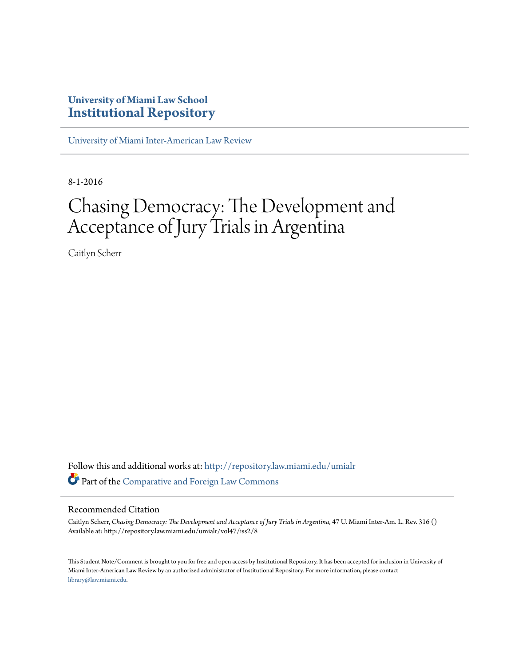# **University of Miami Law School [Institutional Repository](http://repository.law.miami.edu?utm_source=repository.law.miami.edu%2Fumialr%2Fvol47%2Fiss2%2F8&utm_medium=PDF&utm_campaign=PDFCoverPages)**

[University of Miami Inter-American Law Review](http://repository.law.miami.edu/umialr?utm_source=repository.law.miami.edu%2Fumialr%2Fvol47%2Fiss2%2F8&utm_medium=PDF&utm_campaign=PDFCoverPages)

8-1-2016

# Chasing Democracy: The Development and Acceptance of Jury Trials in Argentina

Caitlyn Scherr

Follow this and additional works at: [http://repository.law.miami.edu/umialr](http://repository.law.miami.edu/umialr?utm_source=repository.law.miami.edu%2Fumialr%2Fvol47%2Fiss2%2F8&utm_medium=PDF&utm_campaign=PDFCoverPages) Part of the [Comparative and Foreign Law Commons](http://network.bepress.com/hgg/discipline/836?utm_source=repository.law.miami.edu%2Fumialr%2Fvol47%2Fiss2%2F8&utm_medium=PDF&utm_campaign=PDFCoverPages)

#### Recommended Citation

Caitlyn Scherr, *Chasing Democracy: The Development and Acceptance of Jury Trials in Argentina*, 47 U. Miami Inter-Am. L. Rev. 316 () Available at: http://repository.law.miami.edu/umialr/vol47/iss2/8

This Student Note/Comment is brought to you for free and open access by Institutional Repository. It has been accepted for inclusion in University of Miami Inter-American Law Review by an authorized administrator of Institutional Repository. For more information, please contact [library@law.miami.edu](mailto:library@law.miami.edu).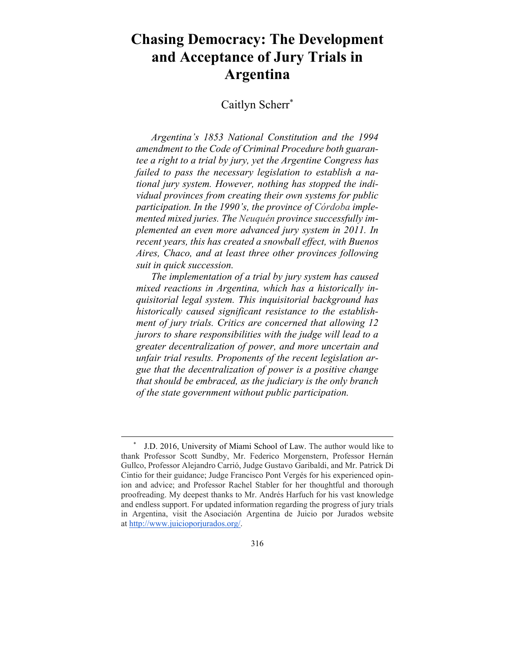# **Chasing Democracy: The Development and Acceptance of Jury Trials in Argentina**

## Caitlyn Scherr\*

*Argentina's 1853 National Constitution and the 1994 amendment to the Code of Criminal Procedure both guarantee a right to a trial by jury, yet the Argentine Congress has failed to pass the necessary legislation to establish a national jury system. However, nothing has stopped the individual provinces from creating their own systems for public participation. In the 1990's, the province of Córdoba implemented mixed juries. The Neuquén province successfully implemented an even more advanced jury system in 2011. In recent years, this has created a snowball effect, with Buenos Aires, Chaco, and at least three other provinces following suit in quick succession.* 

*The implementation of a trial by jury system has caused mixed reactions in Argentina, which has a historically inquisitorial legal system. This inquisitorial background has historically caused significant resistance to the establishment of jury trials. Critics are concerned that allowing 12 jurors to share responsibilities with the judge will lead to a greater decentralization of power, and more uncertain and unfair trial results. Proponents of the recent legislation argue that the decentralization of power is a positive change that should be embraced, as the judiciary is the only branch of the state government without public participation.* 

 <sup>\*</sup> J.D. 2016, University of Miami School of Law. The author would like to thank Professor Scott Sundby, Mr. Federico Morgenstern, Professor Hernán Gullco, Professor Alejandro Carrió, Judge Gustavo Garibaldi, and Mr. Patrick Di Cintio for their guidance; Judge Francisco Pont Vergés for his experienced opinion and advice; and Professor Rachel Stabler for her thoughtful and thorough proofreading. My deepest thanks to Mr. Andrés Harfuch for his vast knowledge and endless support. For updated information regarding the progress of jury trials in Argentina, visit the Asociación Argentina de Juicio por Jurados website at http://www.juicioporjurados.org/.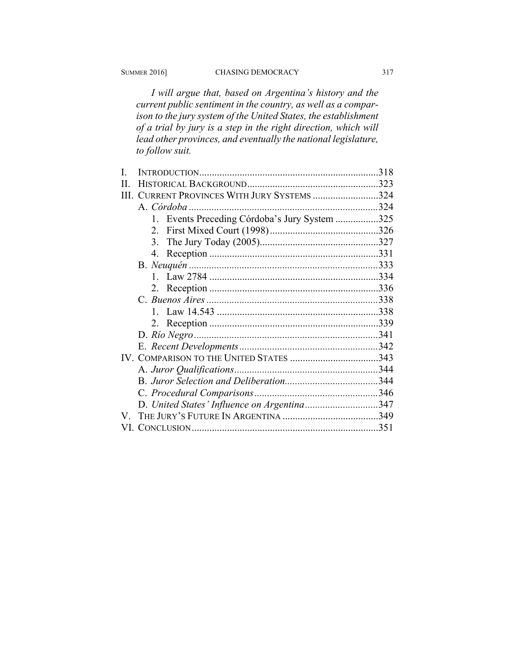*I will argue that, based on Argentina's history and the current public sentiment in the country, as well as a comparison to the jury system of the United States, the establishment of a trial by jury is a step in the right direction, which will lead other provinces, and eventually the national legislature, to follow suit.* 

|   |                                               | .318 |
|---|-----------------------------------------------|------|
| Н |                                               |      |
|   | III. CURRENT PROVINCES WITH JURY SYSTEMS 324  |      |
|   |                                               |      |
|   | 1. Events Preceding Córdoba's Jury System 325 |      |
|   | 2.                                            |      |
|   | 3 <sub>1</sub>                                |      |
|   | 4.                                            |      |
|   |                                               |      |
|   |                                               |      |
|   |                                               |      |
|   |                                               |      |
|   |                                               |      |
|   |                                               |      |
|   |                                               |      |
|   |                                               |      |
|   | IV. COMPARISON TO THE UNITED STATES 343       |      |
|   |                                               |      |
|   |                                               |      |
|   |                                               |      |
|   | D. United States' Influence on Argentina347   |      |
|   |                                               |      |
|   |                                               | .351 |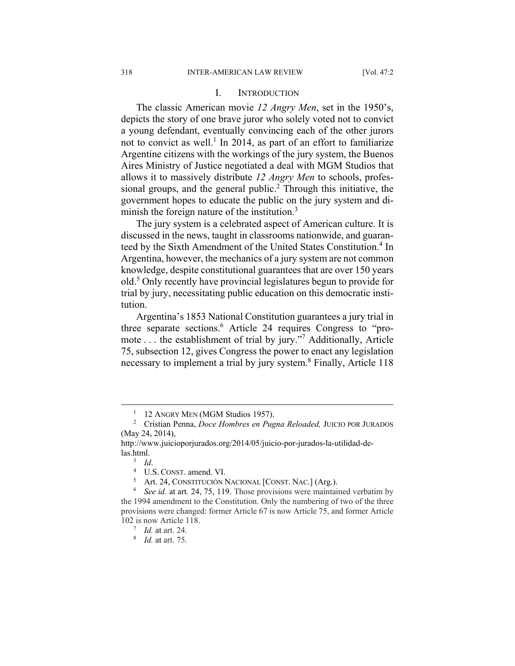#### I. INTRODUCTION

The classic American movie *12 Angry Men*, set in the 1950's, depicts the story of one brave juror who solely voted not to convict a young defendant, eventually convincing each of the other jurors not to convict as well.<sup>1</sup> In 2014, as part of an effort to familiarize Argentine citizens with the workings of the jury system, the Buenos Aires Ministry of Justice negotiated a deal with MGM Studios that allows it to massively distribute *12 Angry Men* to schools, professional groups, and the general public.<sup>2</sup> Through this initiative, the government hopes to educate the public on the jury system and diminish the foreign nature of the institution.<sup>3</sup>

The jury system is a celebrated aspect of American culture. It is discussed in the news, taught in classrooms nationwide, and guaranteed by the Sixth Amendment of the United States Constitution.<sup>4</sup> In Argentina, however, the mechanics of a jury system are not common knowledge, despite constitutional guarantees that are over 150 years old.<sup>5</sup> Only recently have provincial legislatures begun to provide for trial by jury, necessitating public education on this democratic institution.

Argentina's 1853 National Constitution guarantees a jury trial in three separate sections.<sup>6</sup> Article 24 requires Congress to "promote . . . the establishment of trial by jury."7 Additionally, Article 75, subsection 12, gives Congress the power to enact any legislation necessary to implement a trial by jury system.<sup>8</sup> Finally, Article 118

 $\frac{1}{1}$  $1\quad$  12 ANGRY MEN (MGM Studios 1957).

Cristian Penna, *Doce Hombres en Pugna Reloaded,* JUICIO POR JURADOS (May 24, 2014),

http://www.juicioporjurados.org/2014/05/juicio-por-jurados-la-utilidad-delas.html.<br> $\frac{3}{d}$ 

 $\frac{3}{4}$  *Id*.

 $^{4}$  U.S. CONST. amend. VI.<br> $^{5}$  Art 24 CONSTITUCIÓN N

Art. 24, CONSTITUCIÓN NACIONAL [CONST. NAC.] (Arg.).

<sup>&</sup>lt;sup>6</sup> See id. at art. 24, 75, 119. Those provisions were maintained verbatim by the 1994 amendment to the Constitution. Only the numbering of two of the three provisions were changed: former Article 67 is now Article 75, and former Article 102 is now Article 118.

<sup>7</sup>  *Id.* at art. 24.

<sup>8</sup>  *Id.* at art. 75.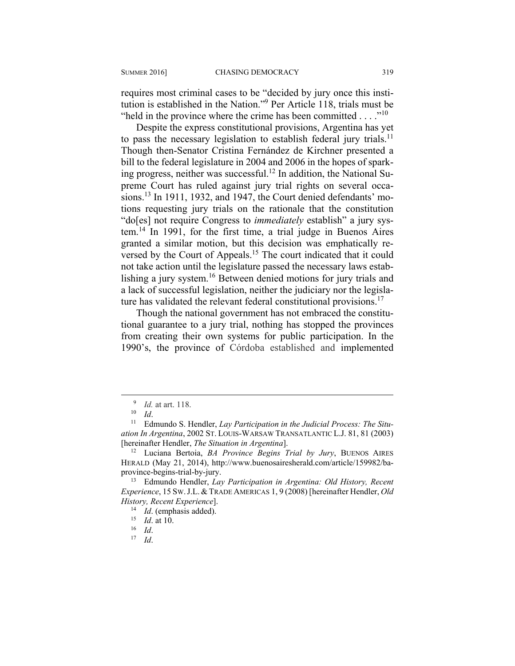requires most criminal cases to be "decided by jury once this institution is established in the Nation."9 Per Article 118, trials must be "held in the province where the crime has been committed  $\dots$ "<sup>10</sup>

Despite the express constitutional provisions, Argentina has yet to pass the necessary legislation to establish federal jury trials.<sup>11</sup> Though then-Senator Cristina Fernández de Kirchner presented a bill to the federal legislature in 2004 and 2006 in the hopes of sparking progress, neither was successful.12 In addition, the National Supreme Court has ruled against jury trial rights on several occasions.<sup>13</sup> In 1911, 1932, and 1947, the Court denied defendants' motions requesting jury trials on the rationale that the constitution "do[es] not require Congress to *immediately* establish" a jury system.14 In 1991, for the first time, a trial judge in Buenos Aires granted a similar motion, but this decision was emphatically reversed by the Court of Appeals.<sup>15</sup> The court indicated that it could not take action until the legislature passed the necessary laws establishing a jury system.<sup>16</sup> Between denied motions for jury trials and a lack of successful legislation, neither the judiciary nor the legislature has validated the relevant federal constitutional provisions.<sup>17</sup>

Though the national government has not embraced the constitutional guarantee to a jury trial, nothing has stopped the provinces from creating their own systems for public participation. In the 1990's, the province of Córdoba established and implemented

 <sup>9</sup> <sup>9</sup> *Id.* at art. 118.

<sup>&</sup>lt;sup>10</sup> *Id.*<br><sup>11</sup> Edmundo S. Hendler, *Lay Participation in the Judicial Process: The Situation In Argentina*, 2002 ST. LOUIS-WARSAW TRANSATLANTIC L.J. 81, 81 (2003) [hereinafter Hendler, *The Situation in Argentina*]. 12 Luciana Bertoia, *BA Province Begins Trial by Jury*, BUENOS AIRES

HERALD (May 21, 2014), http://www.buenosairesherald.com/article/159982/baprovince-begins-trial-by-jury. 13 Edmundo Hendler, *Lay Participation in Argentina: Old History, Recent* 

*Experience*, 15 SW.J.L. & TRADE AMERICAS 1, 9 (2008) [hereinafter Hendler, *Old History, Recent Experience*]. 14 *Id*. (emphasis added). 15 *Id*. at 10. 16 *Id*. 17 *Id*.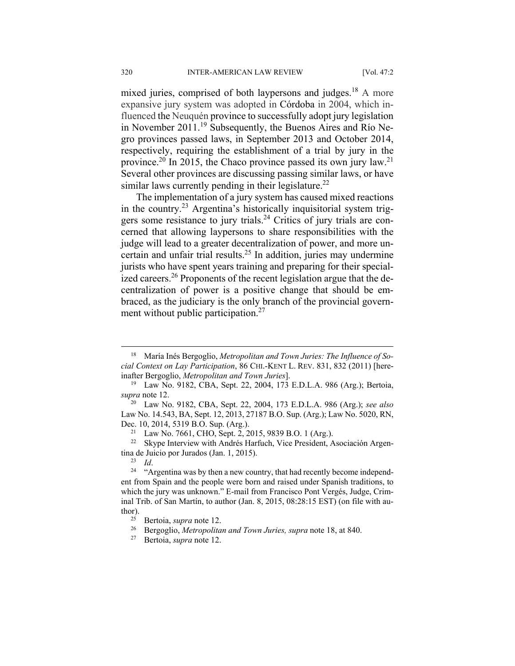mixed juries, comprised of both laypersons and judges.<sup>18</sup> A more expansive jury system was adopted in Córdoba in 2004, which influenced the Neuquén province to successfully adopt jury legislation in November 2011.<sup>19</sup> Subsequently, the Buenos Aires and Río Negro provinces passed laws, in September 2013 and October 2014, respectively, requiring the establishment of a trial by jury in the province.<sup>20</sup> In 2015, the Chaco province passed its own jury law.<sup>21</sup> Several other provinces are discussing passing similar laws, or have similar laws currently pending in their legislature.<sup>22</sup>

The implementation of a jury system has caused mixed reactions in the country.23 Argentina's historically inquisitorial system triggers some resistance to jury trials.24 Critics of jury trials are concerned that allowing laypersons to share responsibilities with the judge will lead to a greater decentralization of power, and more uncertain and unfair trial results.25 In addition, juries may undermine jurists who have spent years training and preparing for their specialized careers.<sup>26</sup> Proponents of the recent legislation argue that the decentralization of power is a positive change that should be embraced, as the judiciary is the only branch of the provincial government without public participation.<sup>27</sup>

<sup>22</sup> Skype Interview with Andrés Harfuch, Vice President, Asociación Argentina de Juicio por Jurados (Jan. 1, 2015).<br><sup>23</sup> *Id.* <sup>24</sup> "Argentina was by then a new country, that had recently become independ-

 <sup>18</sup> María Inés Bergoglio, *Metropolitan and Town Juries: The Influence of Social Context on Lay Participation*, 86 CHI.-KENT L. REV. 831, 832 (2011) [hereinafter Bergoglio, *Metropolitan and Town Juries*]. 19 Law No. 9182, CBA, Sept. 22, 2004, 173 E.D.L.A. 986 (Arg.); Bertoia,

*supra* note 12. 20 Law No. 9182, CBA, Sept. 22, 2004, 173 E.D.L.A. 986 (Arg.); *see also*

Law No. 14.543, BA, Sept. 12, 2013, 27187 B.O. Sup. (Arg.); Law No. 5020, RN, Dec. 10, 2014, 5319 B.O. Sup. (Arg.).<br><sup>21</sup> Law No. 7661, CHO, Sept. 2, 2015, 9839 B.O. 1 (Arg.).

ent from Spain and the people were born and raised under Spanish traditions, to which the jury was unknown." E-mail from Francisco Pont Vergés, Judge, Criminal Trib. of San Martín, to author (Jan. 8, 2015, 08:28:15 EST) (on file with au-

thor). 25 Bertoia, *supra* note 12. 26 Bergoglio, *Metropolitan and Town Juries, supra* note 18, at 840. 27 Bertoia, *supra* note 12.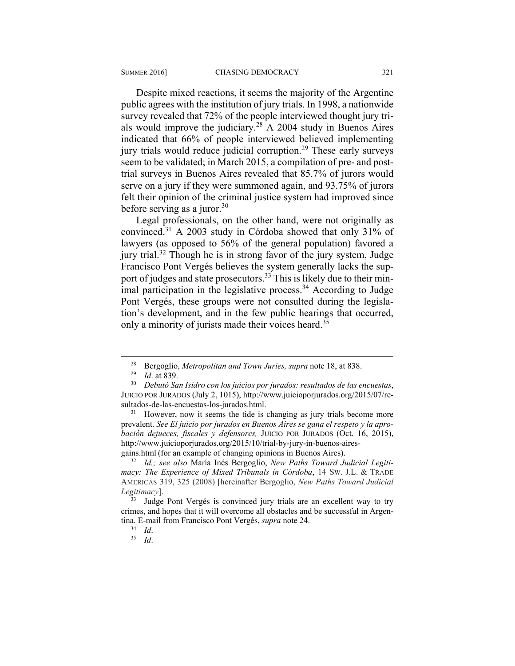Despite mixed reactions, it seems the majority of the Argentine public agrees with the institution of jury trials. In 1998, a nationwide survey revealed that 72% of the people interviewed thought jury trials would improve the judiciary.<sup>28</sup> A 2004 study in Buenos Aires indicated that 66% of people interviewed believed implementing jury trials would reduce judicial corruption.<sup>29</sup> These early surveys seem to be validated; in March 2015, a compilation of pre- and posttrial surveys in Buenos Aires revealed that 85.7% of jurors would serve on a jury if they were summoned again, and 93.75% of jurors felt their opinion of the criminal justice system had improved since before serving as a juror.<sup>30</sup>

Legal professionals, on the other hand, were not originally as convinced.31 A 2003 study in Córdoba showed that only 31% of lawyers (as opposed to 56% of the general population) favored a jury trial.<sup>32</sup> Though he is in strong favor of the jury system, Judge Francisco Pont Vergés believes the system generally lacks the support of judges and state prosecutors.<sup>33</sup> This is likely due to their minimal participation in the legislative process.<sup>34</sup> According to Judge Pont Vergés, these groups were not consulted during the legislation's development, and in the few public hearings that occurred, only a minority of jurists made their voices heard.<sup>35</sup>

prevalent. *See El juicio por jurados en Buenos Aires se gana el respeto y la aprobación dejueces, fiscales y defensores,* JUICIO POR JURADOS (Oct. 16, 2015), http://www.juicioporjurados.org/2015/10/trial-by-jury-in-buenos-aires-

gains.html (for an example of changing opinions in Buenos Aires). 32 *Id.; see also* María Inés Bergoglio, *New Paths Toward Judicial Legitimacy: The Experience of Mixed Tribunals in Córdoba*, 14 SW. J.L. & TRADE AMERICAS 319, 325 (2008) [hereinafter Bergoglio, *New Paths Toward Judicial Legitimacy*].

 <sup>28</sup> Bergoglio, *Metropolitan and Town Juries, supra* note 18, at 838. 29 *Id*. at 839. 30 *Debutó San Isidro con los juicios por jurados: resultados de las encuestas*, JUICIO POR JURADOS (July 2, 1015), http://www.juicioporjurados.org/2015/07/resultados-de-las-encuestas-los-jurados.html.<br><sup>31</sup> However, now it seems the tide is changing as jury trials become more

<sup>&</sup>lt;sup>33</sup> Judge Pont Vergés is convinced jury trials are an excellent way to try crimes, and hopes that it will overcome all obstacles and be successful in Argentina. E-mail from Francisco Pont Vergés, *supra* note 24.<br><sup>34</sup> *Id*.<br><sup>35</sup> *Id*.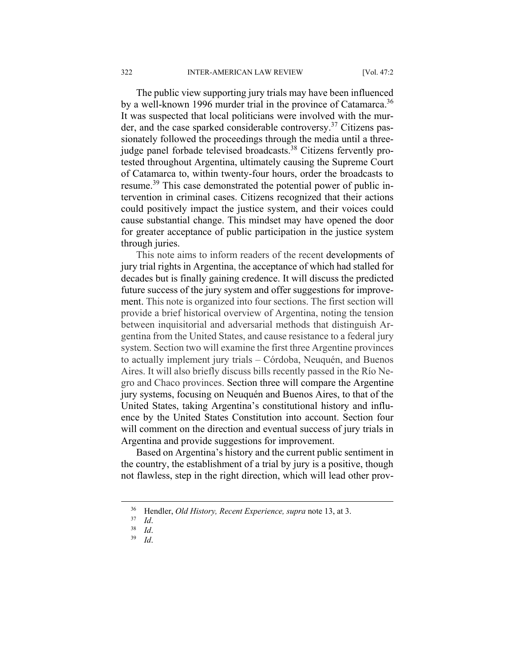The public view supporting jury trials may have been influenced by a well-known 1996 murder trial in the province of Catamarca.<sup>36</sup> It was suspected that local politicians were involved with the murder, and the case sparked considerable controversy.37 Citizens passionately followed the proceedings through the media until a threejudge panel forbade televised broadcasts.<sup>38</sup> Citizens fervently protested throughout Argentina, ultimately causing the Supreme Court of Catamarca to, within twenty-four hours, order the broadcasts to resume.39 This case demonstrated the potential power of public intervention in criminal cases. Citizens recognized that their actions could positively impact the justice system, and their voices could cause substantial change. This mindset may have opened the door for greater acceptance of public participation in the justice system through juries.

This note aims to inform readers of the recent developments of jury trial rights in Argentina, the acceptance of which had stalled for decades but is finally gaining credence. It will discuss the predicted future success of the jury system and offer suggestions for improvement. This note is organized into four sections. The first section will provide a brief historical overview of Argentina, noting the tension between inquisitorial and adversarial methods that distinguish Argentina from the United States, and cause resistance to a federal jury system. Section two will examine the first three Argentine provinces to actually implement jury trials – Córdoba, Neuquén, and Buenos Aires. It will also briefly discuss bills recently passed in the Río Negro and Chaco provinces. Section three will compare the Argentine jury systems, focusing on Neuquén and Buenos Aires, to that of the United States, taking Argentina's constitutional history and influence by the United States Constitution into account. Section four will comment on the direction and eventual success of jury trials in Argentina and provide suggestions for improvement.

Based on Argentina's history and the current public sentiment in the country, the establishment of a trial by jury is a positive, though not flawless, step in the right direction, which will lead other prov-

 <sup>36</sup> Hendler, *Old History, Recent Experience, supra* note 13, at 3. 37 *Id*. 38 *Id*. 39 *Id*.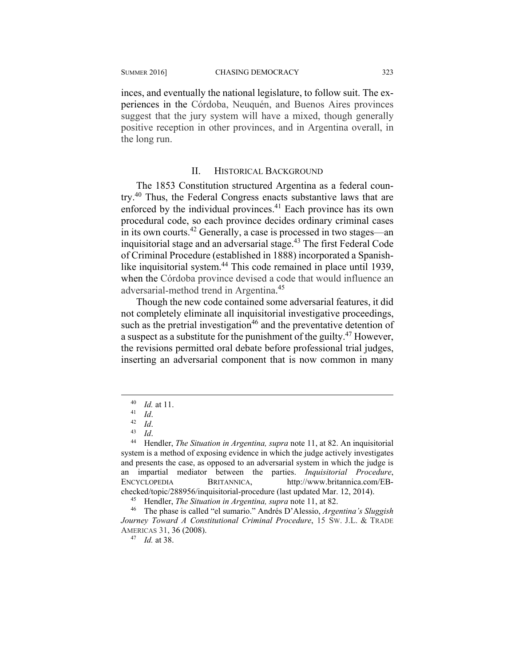inces, and eventually the national legislature, to follow suit. The experiences in the Córdoba, Neuquén, and Buenos Aires provinces suggest that the jury system will have a mixed, though generally positive reception in other provinces, and in Argentina overall, in the long run.

#### II. HISTORICAL BACKGROUND

The 1853 Constitution structured Argentina as a federal country.40 Thus, the Federal Congress enacts substantive laws that are enforced by the individual provinces.<sup>41</sup> Each province has its own procedural code, so each province decides ordinary criminal cases in its own courts.42 Generally, a case is processed in two stages—an inquisitorial stage and an adversarial stage.<sup>43</sup> The first Federal Code of Criminal Procedure (established in 1888) incorporated a Spanishlike inquisitorial system.44 This code remained in place until 1939, when the Córdoba province devised a code that would influence an adversarial-method trend in Argentina. 45

Though the new code contained some adversarial features, it did not completely eliminate all inquisitorial investigative proceedings, such as the pretrial investigation<sup>46</sup> and the preventative detention of a suspect as a substitute for the punishment of the guilty.47 However, the revisions permitted oral debate before professional trial judges, inserting an adversarial component that is now common in many

40 *Id.* at 11.<br>
41 *Id.*<br>
42 *Id.*<br>
44 Hendler, *The Situation in Argentina, supra* note 11, at 82. An inquisitorial system is a method of exposing evidence in which the judge actively investigates and presents the case, as opposed to an adversarial system in which the judge is an impartial mediator between the parties. *Inquisitorial Procedure*, ENCYCLOPEDIA BRITANNICA, http://www.britannica.com/EBchecked/topic/288956/inquisitorial-procedure (last updated Mar. 12, 2014).<br><sup>45</sup> Hendler, *The Situation in Argentina, supra* note 11, at 82.<br><sup>46</sup> The phase is called "el sumario." Andrés D'Alessio, *Argentina's Sluggish* 

*Journey Toward A Constitutional Criminal Procedure*, 15 SW. J.L. & TRADE AMERICAS 31, 36 (2008). 47 *Id.* at 38.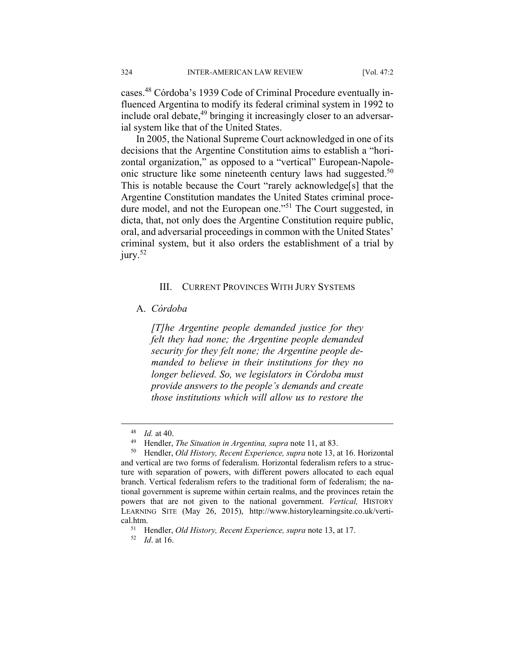cases.48 Córdoba's 1939 Code of Criminal Procedure eventually influenced Argentina to modify its federal criminal system in 1992 to include oral debate, $49$  bringing it increasingly closer to an adversarial system like that of the United States.

In 2005, the National Supreme Court acknowledged in one of its decisions that the Argentine Constitution aims to establish a "horizontal organization," as opposed to a "vertical" European-Napoleonic structure like some nineteenth century laws had suggested.<sup>50</sup> This is notable because the Court "rarely acknowledge[s] that the Argentine Constitution mandates the United States criminal procedure model, and not the European one."<sup>51</sup> The Court suggested, in dicta, that, not only does the Argentine Constitution require public, oral, and adversarial proceedings in common with the United States' criminal system, but it also orders the establishment of a trial by jury.<sup>52</sup>

#### III. CURRENT PROVINCES WITH JURY SYSTEMS

#### A. *Córdoba*

*[T]he Argentine people demanded justice for they felt they had none; the Argentine people demanded security for they felt none; the Argentine people demanded to believe in their institutions for they no longer believed. So, we legislators in Córdoba must provide answers to the people's demands and create those institutions which will allow us to restore the* 

<sup>48</sup> *Id.* at 40. 49 Hendler, *The Situation in Argentina, supra* note 11, at 83. 50 Hendler, *Old History, Recent Experience, supra* note 13, at 16. Horizontal and vertical are two forms of federalism. Horizontal federalism refers to a structure with separation of powers, with different powers allocated to each equal branch. Vertical federalism refers to the traditional form of federalism; the national government is supreme within certain realms, and the provinces retain the powers that are not given to the national government. *Vertical,* HISTORY LEARNING SITE (May 26, 2015), http://www.historylearningsite.co.uk/vertical.htm. 51 Hendler, *Old History, Recent Experience, supra* note 13, at 17. 52 *Id*. at 16.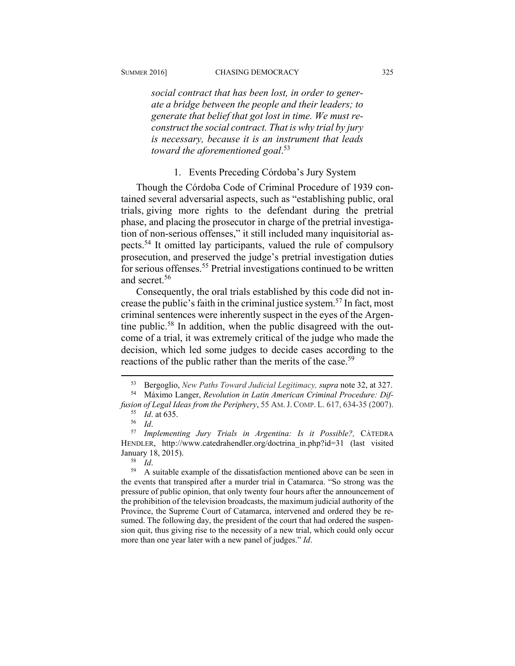*social contract that has been lost, in order to generate a bridge between the people and their leaders; to generate that belief that got lost in time. We must reconstruct the social contract. That is why trial by jury is necessary, because it is an instrument that leads toward the aforementioned goal*. 53

1. Events Preceding Córdoba's Jury System

Though the Córdoba Code of Criminal Procedure of 1939 contained several adversarial aspects, such as "establishing public, oral trials, giving more rights to the defendant during the pretrial phase, and placing the prosecutor in charge of the pretrial investigation of non-serious offenses," it still included many inquisitorial aspects.54 It omitted lay participants, valued the rule of compulsory prosecution, and preserved the judge's pretrial investigation duties for serious offenses.<sup>55</sup> Pretrial investigations continued to be written and secret<sup>56</sup>

Consequently, the oral trials established by this code did not increase the public's faith in the criminal justice system.57 In fact, most criminal sentences were inherently suspect in the eyes of the Argentine public.58 In addition, when the public disagreed with the outcome of a trial, it was extremely critical of the judge who made the decision, which led some judges to decide cases according to the reactions of the public rather than the merits of the case.<sup>59</sup>

 <sup>53</sup> Bergoglio, *New Paths Toward Judicial Legitimacy, supra* note 32, at 327. 54 Máximo Langer, *Revolution in Latin American Criminal Procedure: Dif-*

*fusion of Legal Ideas from the Periphery*, 55 AM.J. COMP. L. 617, 634-35 (2007).

<sup>55</sup> *Id*. at 635. 56 *Id*. 57 *Implementing Jury Trials in Argentina: Is it Possible?,* CÁTEDRA HENDLER, http://www.catedrahendler.org/doctrina in.php?id=31 (last visited January 18, 2015). 58 *Id*. 59 A suitable example of the dissatisfaction mentioned above can be seen in

the events that transpired after a murder trial in Catamarca. "So strong was the pressure of public opinion, that only twenty four hours after the announcement of the prohibition of the television broadcasts, the maximum judicial authority of the Province, the Supreme Court of Catamarca, intervened and ordered they be resumed. The following day, the president of the court that had ordered the suspension quit, thus giving rise to the necessity of a new trial, which could only occur more than one year later with a new panel of judges." *Id*.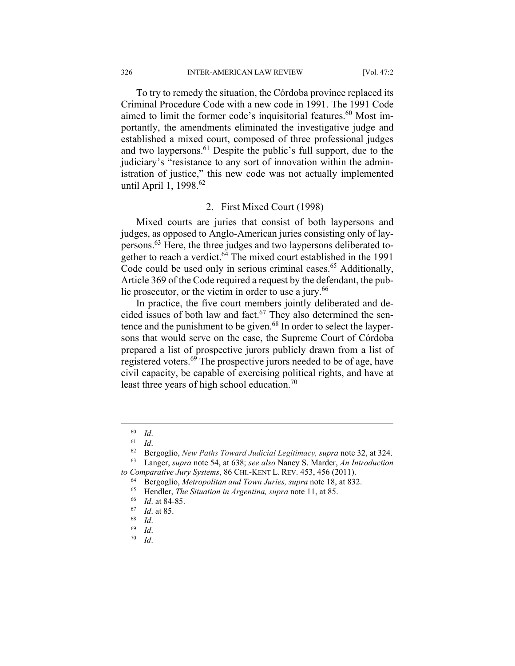To try to remedy the situation, the Córdoba province replaced its Criminal Procedure Code with a new code in 1991. The 1991 Code aimed to limit the former code's inquisitorial features.<sup>60</sup> Most importantly, the amendments eliminated the investigative judge and established a mixed court, composed of three professional judges and two laypersons.<sup>61</sup> Despite the public's full support, due to the judiciary's "resistance to any sort of innovation within the administration of justice," this new code was not actually implemented until April 1, 1998.<sup>62</sup>

#### 2. First Mixed Court (1998)

Mixed courts are juries that consist of both laypersons and judges, as opposed to Anglo-American juries consisting only of laypersons.63 Here, the three judges and two laypersons deliberated together to reach a verdict.<sup>64</sup> The mixed court established in the 1991 Code could be used only in serious criminal cases.<sup>65</sup> Additionally, Article 369 of the Code required a request by the defendant, the public prosecutor, or the victim in order to use a jury. $66$ 

In practice, the five court members jointly deliberated and decided issues of both law and fact.<sup>67</sup> They also determined the sentence and the punishment to be given.<sup>68</sup> In order to select the laypersons that would serve on the case, the Supreme Court of Córdoba prepared a list of prospective jurors publicly drawn from a list of registered voters.<sup>69</sup> The prospective jurors needed to be of age, have civil capacity, be capable of exercising political rights, and have at least three years of high school education.<sup>70</sup>

<sup>60</sup> *Id*. 61 *Id*. 62 Bergoglio, *New Paths Toward Judicial Legitimacy, supra* note 32, at 324. 63 Langer, *supra* note 54, at 638; *see also* Nancy S. Marder, *An Introduction* 

to Comparative Jury Systems, 86 CHI.-KENT L. REV. 453, 456 (2011).<br>
<sup>64</sup> Bergoglio, *Metropolitan and Town Juries, supra* note 18, at 832.<br>
<sup>65</sup> Hendler, *The Situation in Argentina, supra* note 11, at 85.<br>
<sup>66</sup> *Id.* at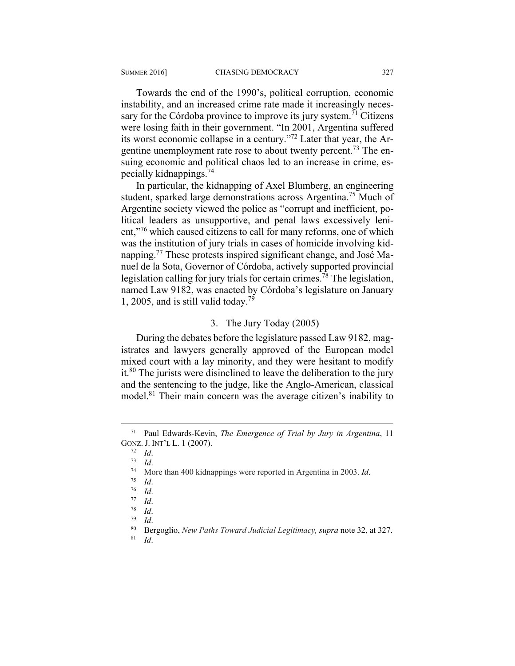Towards the end of the 1990's, political corruption, economic instability, and an increased crime rate made it increasingly necessary for the Córdoba province to improve its jury system.<sup> $71$ </sup> Citizens were losing faith in their government. "In 2001, Argentina suffered its worst economic collapse in a century."72 Later that year, the Argentine unemployment rate rose to about twenty percent.<sup>73</sup> The ensuing economic and political chaos led to an increase in crime, especially kidnappings.74

In particular, the kidnapping of Axel Blumberg, an engineering student, sparked large demonstrations across Argentina.<sup>75</sup> Much of Argentine society viewed the police as "corrupt and inefficient, political leaders as unsupportive, and penal laws excessively lenient,"76 which caused citizens to call for many reforms, one of which was the institution of jury trials in cases of homicide involving kidnapping.77 These protests inspired significant change, and José Manuel de la Sota, Governor of Córdoba, actively supported provincial legislation calling for jury trials for certain crimes.78 The legislation, named Law 9182, was enacted by Córdoba's legislature on January 1, 2005, and is still valid today.<sup>79</sup>

#### 3. The Jury Today (2005)

During the debates before the legislature passed Law 9182, magistrates and lawyers generally approved of the European model mixed court with a lay minority, and they were hesitant to modify it.80 The jurists were disinclined to leave the deliberation to the jury and the sentencing to the judge, like the Anglo-American, classical model.81 Their main concern was the average citizen's inability to

 <sup>71</sup> Paul Edwards-Kevin, *The Emergence of Trial by Jury in Argentina*, 11 GONZ. J. INT'L L. 1 (2007).<br>
<sup>72</sup> *Id.*<br>
<sup>73</sup> *Id.*<br>
<sup>74</sup> More than 400 kidnappings were reported in Argentina in 2003. *Id.*<br>
<sup>75</sup> *Id.*<br>
<sup>76</sup> *Id.*<br>
<sup>77</sup> *Id.*<br>
<sup>78</sup> *Id.*<br>
<sup>79</sup> *Id.*<br>
Bergoglio, *New Paths Toward Judic*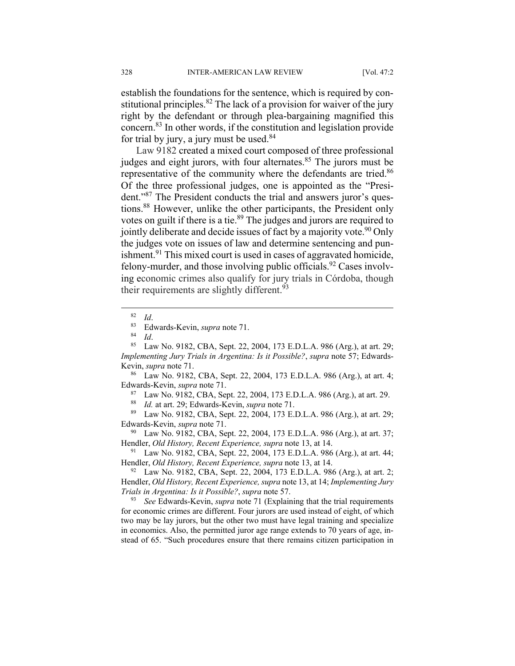establish the foundations for the sentence, which is required by constitutional principles.<sup>82</sup> The lack of a provision for waiver of the jury right by the defendant or through plea-bargaining magnified this concern.83 In other words, if the constitution and legislation provide for trial by jury, a jury must be used. $84$ 

Law 9182 created a mixed court composed of three professional judges and eight jurors, with four alternates. $85$  The jurors must be representative of the community where the defendants are tried.<sup>86</sup> Of the three professional judges, one is appointed as the "President."87 The President conducts the trial and answers juror's questions.88 However, unlike the other participants, the President only votes on guilt if there is a tie.<sup>89</sup> The judges and jurors are required to jointly deliberate and decide issues of fact by a majority vote.<sup>90</sup> Only the judges vote on issues of law and determine sentencing and punishment.<sup>91</sup> This mixed court is used in cases of aggravated homicide, felony-murder, and those involving public officials.<sup>92</sup> Cases involving economic crimes also qualify for jury trials in Córdoba, though their requirements are slightly different.<sup>93</sup>

<sup>82</sup> *Id.* 83 Edwards-Kevin, *supra* note 71.<br><sup>84</sup> *Id.* 85 Law No. 9182, CBA, Sept. 22, 2004, 173 E.D.L.A. 986 (Arg.), at art. 29; *Implementing Jury Trials in Argentina: Is it Possible?*, *supra* note 57; Edwards-Kevin, *supra* note 71.<br><sup>86</sup> Law No. 9182, CBA, Sept. 22, 2004, 173 E.D.L.A. 986 (Arg.), at art. 4;

Edwards-Kevin, *supra* note 71.<br><sup>87</sup> Law No. 9182, CBA, Sept. 22, 2004, 173 E.D.L.A. 986 (Arg.), at art. 29.<br><sup>88</sup> Id at art. 29: Edwards-Kevin, *supra* note 71.

<sup>88</sup> *Id.* at art. 29; Edwards-Kevin, *supra* note 71. 89 Law No. 9182, CBA, Sept. 22, 2004, 173 E.D.L.A. 986 (Arg.), at art. 29; Edwards-Kevin, *supra* note 71.<br><sup>90</sup> Law No. 9182, CBA, Sept. 22, 2004, 173 E.D.L.A. 986 (Arg.), at art. 37;

Hendler, *Old History, Recent Experience, supra* note 13, at 14.<br><sup>91</sup> Law No. 9182, CBA, Sept. 22, 2004, 173 E.D.L.A. 986 (Arg.), at art. 44;

Hendler, *Old History, Recent Experience, supra* note 13, at 14.<br><sup>92</sup> Law No. 9182, CBA, Sept. 22, 2004, 173 E.D.L.A. 986 (Arg.), at art. 2;

Hendler, *Old History, Recent Experience, supra* note 13, at 14; *Implementing Jury Trials in Argentina: Is it Possible?*, *supra* note 57.<br><sup>93</sup> *See* Edwards-Kevin, *supra* note 71 (Explaining that the trial requirements

for economic crimes are different. Four jurors are used instead of eight, of which two may be lay jurors, but the other two must have legal training and specialize in economics. Also, the permitted juror age range extends to 70 years of age, instead of 65. "Such procedures ensure that there remains citizen participation in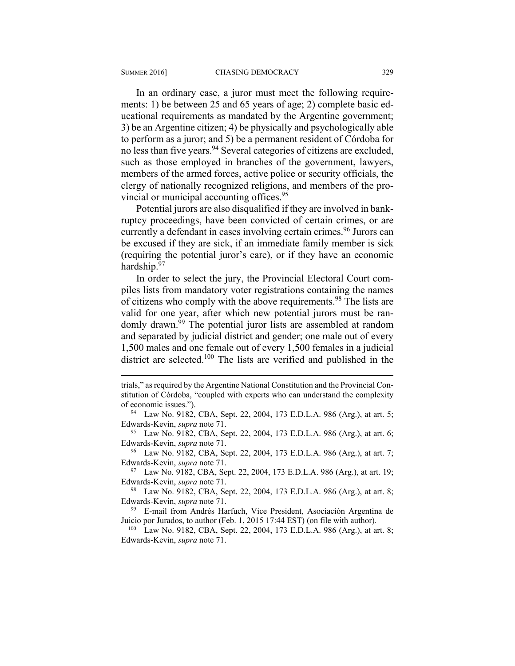$\overline{a}$ 

In an ordinary case, a juror must meet the following requirements: 1) be between 25 and 65 years of age; 2) complete basic educational requirements as mandated by the Argentine government; 3) be an Argentine citizen; 4) be physically and psychologically able to perform as a juror; and 5) be a permanent resident of Córdoba for no less than five years.94 Several categories of citizens are excluded, such as those employed in branches of the government, lawyers, members of the armed forces, active police or security officials, the clergy of nationally recognized religions, and members of the provincial or municipal accounting offices.<sup>95</sup>

Potential jurors are also disqualified if they are involved in bankruptcy proceedings, have been convicted of certain crimes, or are currently a defendant in cases involving certain crimes.<sup>96</sup> Jurors can be excused if they are sick, if an immediate family member is sick (requiring the potential juror's care), or if they have an economic hardship.<sup>97</sup>

In order to select the jury, the Provincial Electoral Court compiles lists from mandatory voter registrations containing the names of citizens who comply with the above requirements.<sup>98</sup> The lists are valid for one year, after which new potential jurors must be randomly drawn.<sup>99</sup> The potential juror lists are assembled at random and separated by judicial district and gender; one male out of every 1,500 males and one female out of every 1,500 females in a judicial district are selected.100 The lists are verified and published in the

trials," as required by the Argentine National Constitution and the Provincial Constitution of Córdoba, "coupled with experts who can understand the complexity of economic issues.").<br><sup>94</sup> Law No. 9182, CBA, Sept. 22, 2004, 173 E.D.L.A. 986 (Arg.), at art. 5;

Edwards-Kevin, *supra* note 71.<br><sup>95</sup> Law No. 9182, CBA, Sept. 22, 2004, 173 E.D.L.A. 986 (Arg.), at art. 6;

Edwards-Kevin, *supra* note 71.<br><sup>96</sup> Law No. 9182, CBA, Sept. 22, 2004, 173 E.D.L.A. 986 (Arg.), at art. 7;

Edwards-Kevin, *supra* note 71.<br><sup>97</sup> Law No. 9182, CBA, Sept. 22, 2004, 173 E.D.L.A. 986 (Arg.), at art. 19;

Edwards-Kevin, *supra* note 71.<br><sup>98</sup> Law No. 9182, CBA, Sept. 22, 2004, 173 E.D.L.A. 986 (Arg.), at art. 8;

Edwards-Kevin, *supra* note 71. 99 E-mail from Andrés Harfuch, Vice President, Asociación Argentina de

Juicio por Jurados, to author (Feb. 1, 2015 17:44 EST) (on file with author). 100 Law No. 9182, CBA, Sept. 22, 2004, 173 E.D.L.A. 986 (Arg.), at art. 8;

Edwards-Kevin, *supra* note 71.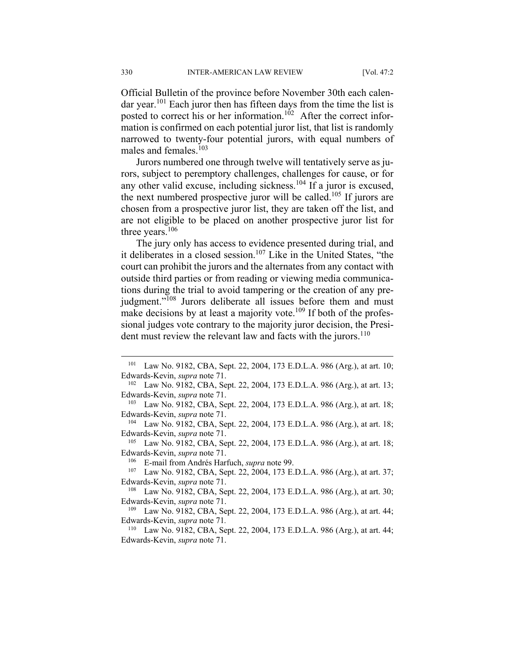Official Bulletin of the province before November 30th each calendar year.<sup>101</sup> Each juror then has fifteen days from the time the list is posted to correct his or her information.<sup>102</sup> After the correct information is confirmed on each potential juror list, that list is randomly narrowed to twenty-four potential jurors, with equal numbers of males and females. $103$ 

Jurors numbered one through twelve will tentatively serve as jurors, subject to peremptory challenges, challenges for cause, or for any other valid excuse, including sickness.<sup>104</sup> If a juror is excused, the next numbered prospective juror will be called.<sup>105</sup> If jurors are chosen from a prospective juror list, they are taken off the list, and are not eligible to be placed on another prospective juror list for three years.<sup>106</sup>

The jury only has access to evidence presented during trial, and it deliberates in a closed session.<sup>107</sup> Like in the United States, "the court can prohibit the jurors and the alternates from any contact with outside third parties or from reading or viewing media communications during the trial to avoid tampering or the creation of any prejudgment."<sup>108</sup> Jurors deliberate all issues before them and must make decisions by at least a majority vote.<sup>109</sup> If both of the professional judges vote contrary to the majority juror decision, the President must review the relevant law and facts with the jurors.<sup>110</sup>

<sup>101</sup> Law No. 9182, CBA, Sept. 22, 2004, 173 E.D.L.A. 986 (Arg.), at art. 10; Edwards-Kevin, *supra* note 71.<br><sup>102</sup> Law No. 9182, CBA, Sept. 22, 2004, 173 E.D.L.A. 986 (Arg.), at art. 13;

Edwards-Kevin, *supra* note 71.<br><sup>103</sup> Law No. 9182, CBA, Sept. 22, 2004, 173 E.D.L.A. 986 (Arg.), at art. 18;

Edwards-Kevin, *supra* note 71.<br><sup>104</sup> Law No. 9182, CBA, Sept. 22, 2004, 173 E.D.L.A. 986 (Arg.), at art. 18;

Edwards-Kevin, *supra* note 71.<br><sup>105</sup> Law No. 9182, CBA, Sept. 22, 2004, 173 E.D.L.A. 986 (Arg.), at art. 18;

Edwards-Kevin, *supra* note 71.<br><sup>106</sup> E-mail from Andrés Harfuch, *supra* note 99.<br><sup>107</sup> Law No. 9182, CBA, Sept. 22, 2004, 173 E.D.L.A. 986 (Arg.), at art. 37;

Edwards-Kevin, *supra* note 71.<br><sup>108</sup> Law No. 9182, CBA, Sept. 22, 2004, 173 E.D.L.A. 986 (Arg.), at art. 30; Edwards-Kevin, *supra* note 71.<br><sup>109</sup> Law No. 9182, CBA, Sept. 22, 2004, 173 E.D.L.A. 986 (Arg.), at art. 44;

Edwards-Kevin, *supra* note 71*.*

<sup>110</sup> Law No. 9182, CBA, Sept. 22, 2004, 173 E.D.L.A. 986 (Arg.), at art. 44; Edwards-Kevin, *supra* note 71.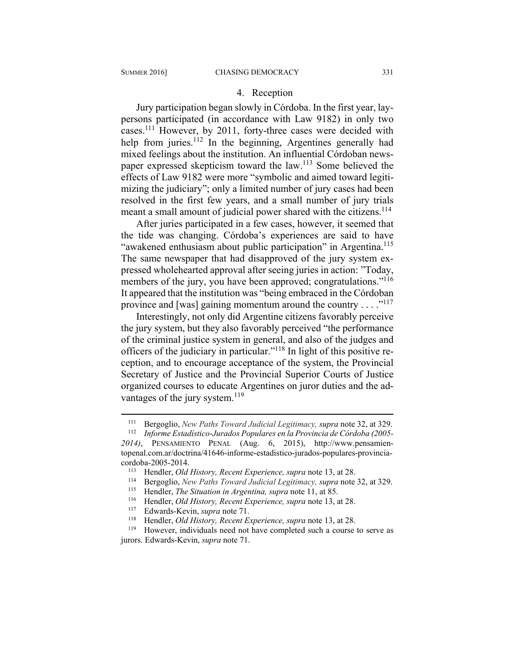#### 4. Reception

Jury participation began slowly in Córdoba. In the first year, laypersons participated (in accordance with Law 9182) in only two cases.111 However, by 2011, forty-three cases were decided with help from juries.<sup>112</sup> In the beginning, Argentines generally had mixed feelings about the institution. An influential Córdoban newspaper expressed skepticism toward the law.113 Some believed the effects of Law 9182 were more "symbolic and aimed toward legitimizing the judiciary"; only a limited number of jury cases had been resolved in the first few years, and a small number of jury trials meant a small amount of judicial power shared with the citizens.<sup>114</sup>

After juries participated in a few cases, however, it seemed that the tide was changing. Córdoba's experiences are said to have "awakened enthusiasm about public participation" in Argentina.<sup>115</sup> The same newspaper that had disapproved of the jury system expressed wholehearted approval after seeing juries in action: "Today, members of the jury, you have been approved; congratulations."<sup>116</sup> It appeared that the institution was "being embraced in the Córdoban province and [was] gaining momentum around the country  $\dots$ ."<sup>117</sup>

Interestingly, not only did Argentine citizens favorably perceive the jury system, but they also favorably perceived "the performance of the criminal justice system in general, and also of the judges and officers of the judiciary in particular."118 In light of this positive reception, and to encourage acceptance of the system, the Provincial Secretary of Justice and the Provincial Superior Courts of Justice organized courses to educate Argentines on juror duties and the advantages of the jury system.<sup>119</sup>

<sup>111</sup> Bergoglio, *New Paths Toward Judicial Legitimacy, supra* note 32, at 329. 112 *Informe Estadístico-Jurados Populares en la Provincia de Córdoba (2005-*

*<sup>2014)</sup>*, PENSAMIENTO PENAL (Aug. 6, 2015), http://www.pensamientopenal.com.ar/doctrina/41646-informe-estadistico-jurados-populares-provinciacordoba-2005-2014.<br>
<sup>113</sup> Hendler, *Old History, Recent Experience, supra* note 13, at 28.<br>
<sup>114</sup> Bergoglio, *New Paths Toward Judicial Legitimacy, supra* note 32, at 329.<br>
<sup>115</sup> Hendler, *The Situation in Argentina, supra* 

jurors. Edwards-Kevin, *supra* note 71.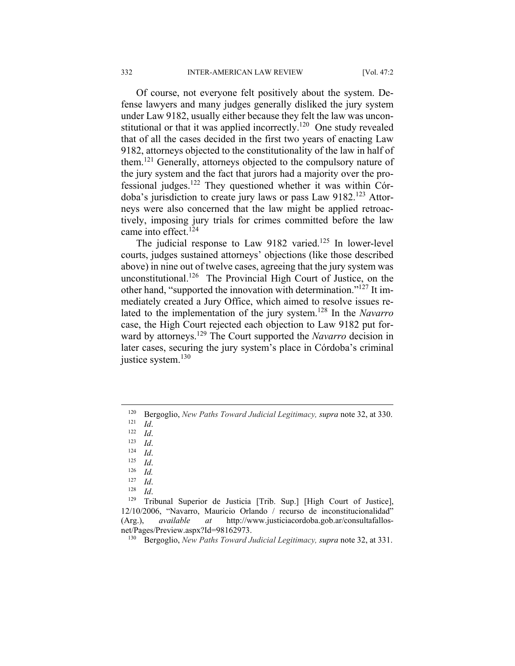Of course, not everyone felt positively about the system. Defense lawyers and many judges generally disliked the jury system under Law 9182, usually either because they felt the law was unconstitutional or that it was applied incorrectly.<sup>120</sup> One study revealed that of all the cases decided in the first two years of enacting Law 9182, attorneys objected to the constitutionality of the law in half of them.121 Generally, attorneys objected to the compulsory nature of the jury system and the fact that jurors had a majority over the professional judges.<sup>122</sup> They questioned whether it was within Córdoba's jurisdiction to create jury laws or pass Law 9182.<sup>123</sup> Attorneys were also concerned that the law might be applied retroactively, imposing jury trials for crimes committed before the law came into effect.<sup>124</sup>

The judicial response to Law 9182 varied.<sup>125</sup> In lower-level courts, judges sustained attorneys' objections (like those described above) in nine out of twelve cases, agreeing that the jury system was unconstitutional.<sup>126</sup> The Provincial High Court of Justice, on the other hand, "supported the innovation with determination."127 It immediately created a Jury Office, which aimed to resolve issues related to the implementation of the jury system.128 In the *Navarro* case, the High Court rejected each objection to Law 9182 put forward by attorneys.129 The Court supported the *Navarro* decision in later cases, securing the jury system's place in Córdoba's criminal justice system.<sup>130</sup>

1

<sup>120</sup> Bergoglio, *New Paths Toward Judicial Legitimacy, supra* note 32, at 330.<br>
121 *Id.*<br>
122 *Id.*<br>
124 *Id.*<br>
125 *Id.*<br>
126 *Id.*<br>
127 *Id*.

<sup>127</sup> *Id*. 128 *Id*. 129 Tribunal Superior de Justicia [Trib. Sup.] [High Court of Justice], 12/10/2006, "Navarro, Mauricio Orlando / recurso de inconstitucionalidad" (Arg.), *available at* http://www.justiciacordoba.gob.ar/consultafallosnet/Pages/Preview.aspx?Id=98162973. 130 Bergoglio, *New Paths Toward Judicial Legitimacy, supra* note 32, at 331.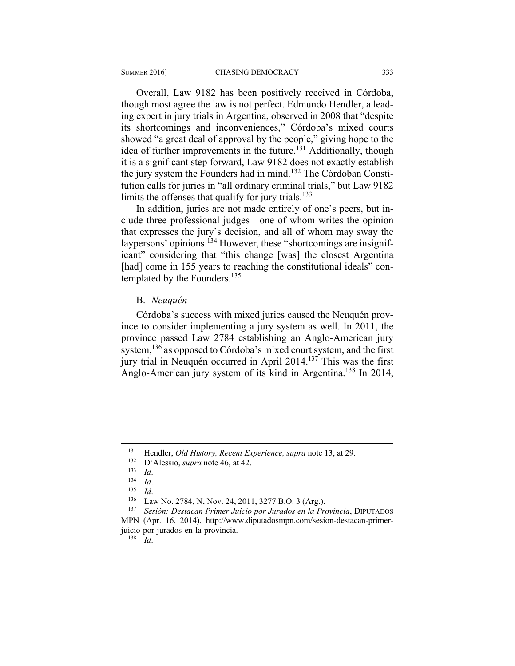Overall, Law 9182 has been positively received in Córdoba, though most agree the law is not perfect. Edmundo Hendler, a leading expert in jury trials in Argentina, observed in 2008 that "despite its shortcomings and inconveniences," Córdoba's mixed courts showed "a great deal of approval by the people," giving hope to the idea of further improvements in the future.<sup>131</sup> Additionally, though it is a significant step forward, Law 9182 does not exactly establish the jury system the Founders had in mind.132 The Córdoban Constitution calls for juries in "all ordinary criminal trials," but Law 9182 limits the offenses that qualify for jury trials.<sup>133</sup>

In addition, juries are not made entirely of one's peers, but include three professional judges—one of whom writes the opinion that expresses the jury's decision, and all of whom may sway the laypersons' opinions.<sup>134</sup> However, these "shortcomings are insignificant" considering that "this change [was] the closest Argentina [had] come in 155 years to reaching the constitutional ideals" contemplated by the Founders.<sup>135</sup>

#### B. *Neuquén*

Córdoba's success with mixed juries caused the Neuquén province to consider implementing a jury system as well. In 2011, the province passed Law 2784 establishing an Anglo-American jury system, <sup>136</sup> as opposed to Córdoba's mixed court system, and the first jury trial in Neuquén occurred in April 2014.137 This was the first Anglo-American jury system of its kind in Argentina.<sup>138</sup> In 2014,

<sup>&</sup>lt;sup>131</sup> Hendler, *Old History, Recent Experience, supra* note 13, at 29.<br>
<sup>132</sup> D'Alessio, *supra* note 46, at 42.<br>
<sup>133</sup> Id.<br>
<sup>134</sup> Id.<br>
<sup>136</sup> Law No. 2784, N, Nov. 24, 2011, 3277 B.O. 3 (Arg.).<br>
<sup>136</sup> Law No. 2784, N, Nov MPN (Apr. 16, 2014), http://www.diputadosmpn.com/sesion-destacan-primerjuicio-por-jurados-en-la-provincia. 138 *Id*.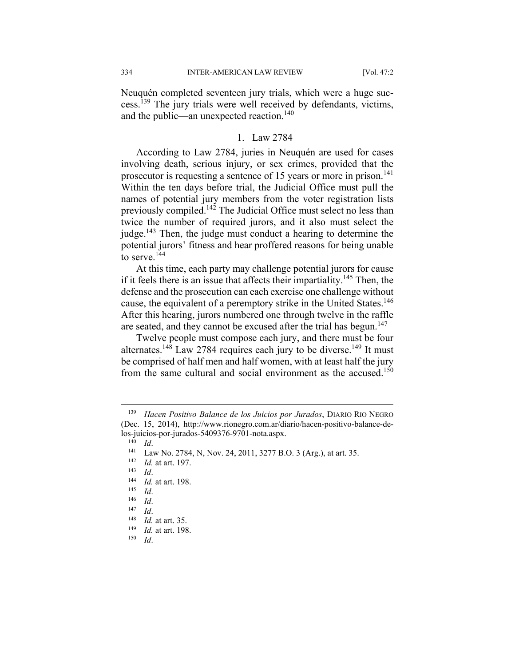Neuquén completed seventeen jury trials, which were a huge success.<sup>139</sup> The jury trials were well received by defendants, victims, and the public—an unexpected reaction.<sup>140</sup>

#### 1. Law 2784

According to Law 2784, juries in Neuquén are used for cases involving death, serious injury, or sex crimes, provided that the prosecutor is requesting a sentence of 15 years or more in prison.<sup>141</sup> Within the ten days before trial, the Judicial Office must pull the names of potential jury members from the voter registration lists previously compiled.142 The Judicial Office must select no less than twice the number of required jurors, and it also must select the judge.<sup>143</sup> Then, the judge must conduct a hearing to determine the potential jurors' fitness and hear proffered reasons for being unable to serve.<sup>144</sup>

At this time, each party may challenge potential jurors for cause if it feels there is an issue that affects their impartiality.<sup>145</sup> Then, the defense and the prosecution can each exercise one challenge without cause, the equivalent of a peremptory strike in the United States.<sup>146</sup> After this hearing, jurors numbered one through twelve in the raffle are seated, and they cannot be excused after the trial has begun.<sup>147</sup>

Twelve people must compose each jury, and there must be four alternates.<sup>148</sup> Law 2784 requires each jury to be diverse.<sup>149</sup> It must be comprised of half men and half women, with at least half the jury from the same cultural and social environment as the accused.<sup>150</sup>

<sup>139</sup> *Hacen Positivo Balance de los Juicios por Jurados*, DIARIO RIO NEGRO (Dec. 15, 2014), http://www.rionegro.com.ar/diario/hacen-positivo-balance-delos-juicios-por-jurados-5409376-9701-nota.aspx.<br>
<sup>140</sup> *Id.*<br>
<sup>141</sup> Law No. 2784, N, Nov. 24, 2011, 3277 B.O. 3 (Arg.), at art. 35.<br>
<sup>142</sup> *Id.* at art. 197.<br>
<sup>143</sup> *Id.*<br>
<sup>144</sup> *Id.* at art. 198.<br>
<sup>145</sup> *Id.*<br>
<sup>146</sup> *Id.*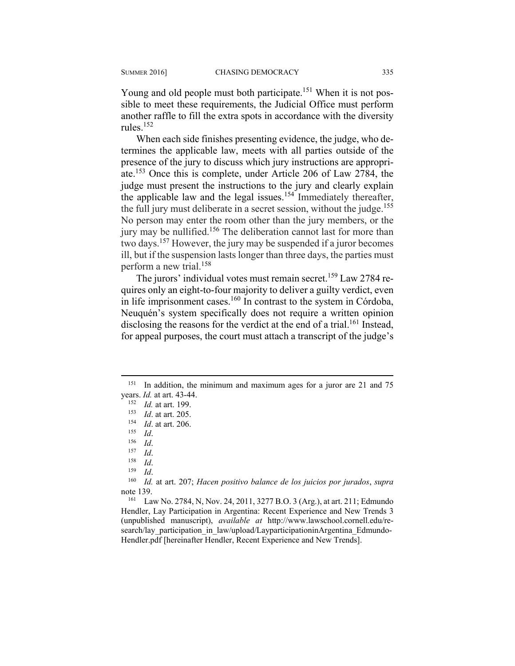Young and old people must both participate.<sup>151</sup> When it is not possible to meet these requirements, the Judicial Office must perform another raffle to fill the extra spots in accordance with the diversity rules $152$ 

When each side finishes presenting evidence, the judge, who determines the applicable law, meets with all parties outside of the presence of the jury to discuss which jury instructions are appropriate.153 Once this is complete, under Article 206 of Law 2784, the judge must present the instructions to the jury and clearly explain the applicable law and the legal issues.<sup>154</sup> Immediately thereafter, the full jury must deliberate in a secret session, without the judge.<sup>155</sup> No person may enter the room other than the jury members, or the jury may be nullified.<sup>156</sup> The deliberation cannot last for more than two days.157 However, the jury may be suspended if a juror becomes ill, but if the suspension lasts longer than three days, the parties must perform a new trial.158

The jurors' individual votes must remain secret.<sup>159</sup> Law 2784 requires only an eight-to-four majority to deliver a guilty verdict, even in life imprisonment cases. $160$  In contrast to the system in Córdoba, Neuquén's system specifically does not require a written opinion disclosing the reasons for the verdict at the end of a trial.<sup>161</sup> Instead, for appeal purposes, the court must attach a transcript of the judge's

<sup>&</sup>lt;sup>151</sup> In addition, the minimum and maximum ages for a juror are 21 and 75 years. *Id.* at art. 43-44.<br>
<sup>152</sup> *Id.* at art. 199.<br>
<sup>153</sup> *Id.* at art. 205.<br>
<sup>153</sup> *Id.* at art. 206.<br>
<sup>155</sup> *Id.*<br>
<sup>157</sup> *Id.*<br>
<sup>157</sup> *Id.*<br>
<sup>158</sup> *Id.*<br>
<sup>158</sup> *Id.*<br>
<sup>160</sup> *Id.* at art. 207; *Hacen positivo balance* 

note 139.<br><sup>161</sup> Law No. 2784, N, Nov. 24, 2011, 3277 B.O. 3 (Arg.), at art. 211; Edmundo

Hendler, Lay Participation in Argentina: Recent Experience and New Trends 3 (unpublished manuscript), *available at* http://www.lawschool.cornell.edu/research/lay participation in law/upload/LayparticipationinArgentina Edmundo-Hendler.pdf [hereinafter Hendler, Recent Experience and New Trends].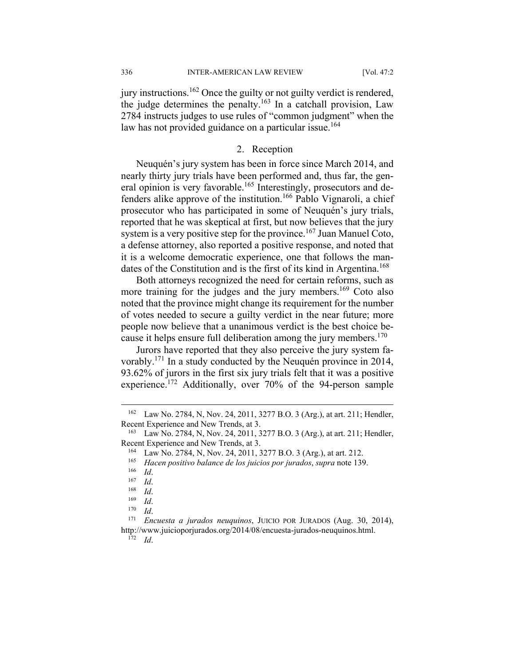336 INTER-AMERICAN LAW REVIEW [Vol. 47:2

jury instructions.162 Once the guilty or not guilty verdict is rendered, the judge determines the penalty.<sup>163</sup> In a catchall provision, Law 2784 instructs judges to use rules of "common judgment" when the law has not provided guidance on a particular issue.<sup>164</sup>

#### 2. Reception

Neuquén's jury system has been in force since March 2014, and nearly thirty jury trials have been performed and, thus far, the general opinion is very favorable.<sup>165</sup> Interestingly, prosecutors and defenders alike approve of the institution.166 Pablo Vignaroli, a chief prosecutor who has participated in some of Neuquén's jury trials, reported that he was skeptical at first, but now believes that the jury system is a very positive step for the province.<sup>167</sup> Juan Manuel Coto, a defense attorney, also reported a positive response, and noted that it is a welcome democratic experience, one that follows the mandates of the Constitution and is the first of its kind in Argentina.<sup>168</sup>

Both attorneys recognized the need for certain reforms, such as more training for the judges and the jury members.<sup>169</sup> Coto also noted that the province might change its requirement for the number of votes needed to secure a guilty verdict in the near future; more people now believe that a unanimous verdict is the best choice because it helps ensure full deliberation among the jury members.<sup>170</sup>

Jurors have reported that they also perceive the jury system favorably.171 In a study conducted by the Neuquén province in 2014, 93.62% of jurors in the first six jury trials felt that it was a positive experience.172 Additionally, over 70% of the 94-person sample

<sup>162</sup> Law No. 2784, N, Nov. 24, 2011, 3277 B.O. 3 (Arg.), at art. 211; Hendler, Recent Experience and New Trends, at 3.<br><sup>163</sup> Law No. 2784, N, Nov. 24, 2011, 3277 B.O. 3 (Arg.), at art. 211; Hendler,

Recent Experience and New Trends, at 3.<br>
<sup>164</sup> Law No. 2784, N, Nov. 24, 2011, 3277 B.O. 3 (Arg.), at art. 212.<br>
<sup>165</sup> *Hacen positivo balance de los juicios por jurados, supra* note 139.<br>
<sup>167</sup> *Id.*<br>
<sup>167</sup> *Id.*<br>
<sup>169</sup>

http://www.juicioporjurados.org/2014/08/encuesta-jurados-neuquinos.html. 172 *Id*.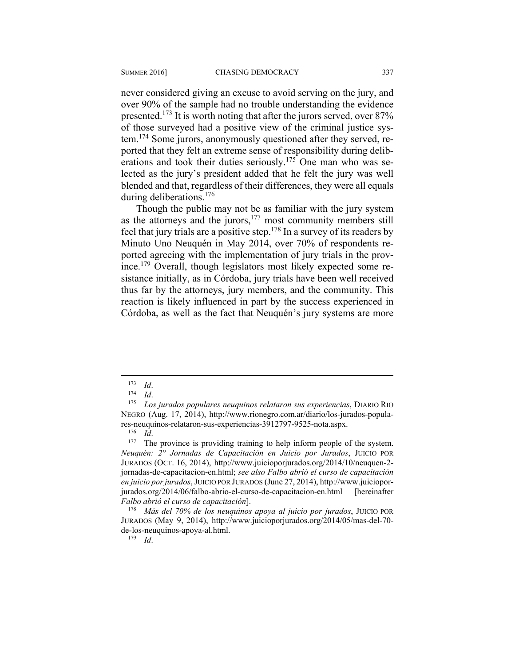during deliberations.<sup>176</sup>

never considered giving an excuse to avoid serving on the jury, and over 90% of the sample had no trouble understanding the evidence presented.173 It is worth noting that after the jurors served, over 87% of those surveyed had a positive view of the criminal justice system.174 Some jurors, anonymously questioned after they served, reported that they felt an extreme sense of responsibility during deliberations and took their duties seriously.<sup>175</sup> One man who was selected as the jury's president added that he felt the jury was well blended and that, regardless of their differences, they were all equals

Though the public may not be as familiar with the jury system as the attorneys and the jurors, $177$  most community members still feel that jury trials are a positive step.178 In a survey of its readers by Minuto Uno Neuquén in May 2014, over 70% of respondents reported agreeing with the implementation of jury trials in the province.179 Overall, though legislators most likely expected some resistance initially, as in Córdoba, jury trials have been well received thus far by the attorneys, jury members, and the community. This reaction is likely influenced in part by the success experienced in Córdoba, as well as the fact that Neuquén's jury systems are more

<sup>173</sup> *Id*. 174 *Id*. 175 *Los jurados populares neuquinos relataron sus experiencias*, DIARIO RIO NEGRO (Aug. 17, 2014), http://www.rionegro.com.ar/diario/los-jurados-popula-

res-neuquinos-relataron-sus-experiencias-3912797-9525-nota.aspx.<br><sup>176</sup> *Id*. <sup>177</sup> The province is providing training to help inform people of the system. *Neuquén: 2° Jornadas de Capacitación en Juicio por Jurados*, JUICIO POR JURADOS (OCT. 16, 2014), http://www.juicioporjurados.org/2014/10/neuquen-2 jornadas-de-capacitacion-en.html; *see also Falbo abrió el curso de capacitación en juicio por jurados*, JUICIO POR JURADOS (June 27, 2014), http://www.juicioporjurados.org/2014/06/falbo-abrio-el-curso-de-capacitacion-en.html [hereinafter *Falbo abrió el curso de capacitación*]. 178 *Más del 70% de los neuquinos apoya al juicio por jurados*, JUICIO POR

JURADOS (May 9, 2014), http://www.juicioporjurados.org/2014/05/mas-del-70 de-los-neuquinos-apoya-al.html.

<sup>179</sup> *Id*.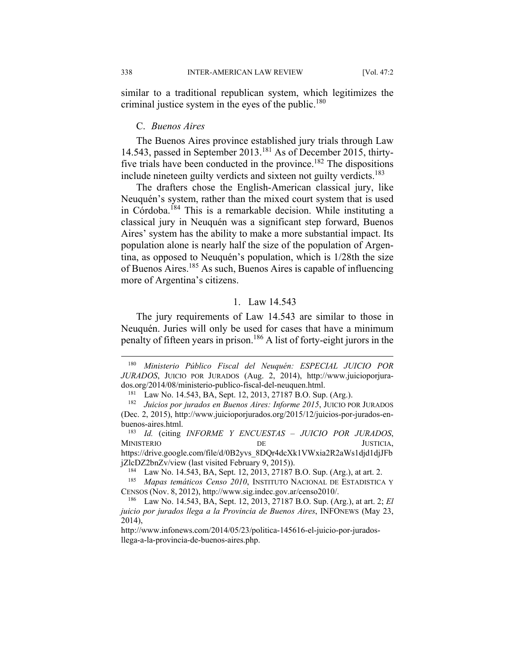similar to a traditional republican system, which legitimizes the criminal justice system in the eyes of the public.<sup>180</sup>

#### C. *Buenos Aires*

The Buenos Aires province established jury trials through Law 14.543, passed in September 2013.<sup>181</sup> As of December 2015, thirtyfive trials have been conducted in the province.<sup>182</sup> The dispositions include nineteen guilty verdicts and sixteen not guilty verdicts.<sup>183</sup>

The drafters chose the English-American classical jury, like Neuquén's system, rather than the mixed court system that is used in Córdoba.184 This is a remarkable decision. While instituting a classical jury in Neuquén was a significant step forward, Buenos Aires' system has the ability to make a more substantial impact. Its population alone is nearly half the size of the population of Argentina, as opposed to Neuquén's population, which is 1/28th the size of Buenos Aires.185 As such, Buenos Aires is capable of influencing more of Argentina's citizens.

#### 1. Law 14.543

The jury requirements of Law 14.543 are similar to those in Neuquén. Juries will only be used for cases that have a minimum penalty of fifteen years in prison.186 A list of forty-eight jurors in the

1

<sup>180</sup> *Ministerio Público Fiscal del Neuquén: ESPECIAL JUICIO POR JURADOS*, JUICIO POR JURADOS (Aug. 2, 2014), http://www.juicioporjurados.org/2014/08/ministerio-publico-fiscal-del-neuquen.html.

<sup>181</sup> Law No. 14.543, BA, Sept. 12, 2013, 27187 B.O. Sup. (Arg.). 182 *Juicios por jurados en Buenos Aires: Informe 2015*, JUICIO POR JURADOS (Dec. 2, 2015), http://www.juicioporjurados.org/2015/12/juicios-por-jurados-enbuenos-aires.html. 183 *Id.* (citing *INFORME Y ENCUESTAS – JUICIO POR JURADOS*,

MINISTERIO DE JUSTICIA, https://drive.google.com/file/d/0B2yvs\_8DQr4dcXk1VWxia2R2aWs1djd1djJFb

jZlcDZ2bnZv/view (last visited February 9, 2015)).<br><sup>184</sup> Law No. 14.543, BA, Sept. 12, 2013, 27187 B.O. Sup. (Arg.), at art. 2.

<sup>185</sup> *Mapas temáticos Censo 2010*, INSTITUTO NACIONAL DE ESTADISTICA Y CENSOS (Nov. 8, 2012), http://www.sig.indec.gov.ar/censo2010/. 186 Law No. 14.543, BA, Sept. 12, 2013, 27187 B.O. Sup. (Arg.), at art. 2; *El* 

*juicio por jurados llega a la Provincia de Buenos Aires*, INFONEWS (May 23, 2014),

http://www.infonews.com/2014/05/23/politica-145616-el-juicio-por-juradosllega-a-la-provincia-de-buenos-aires.php.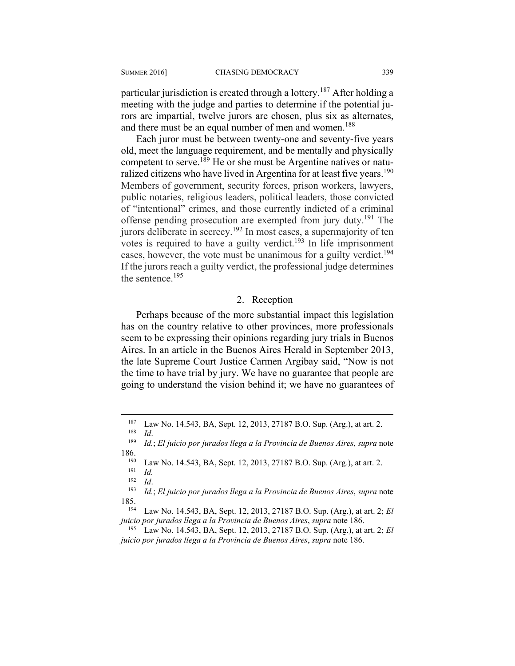particular jurisdiction is created through a lottery.<sup>187</sup> After holding a meeting with the judge and parties to determine if the potential jurors are impartial, twelve jurors are chosen, plus six as alternates, and there must be an equal number of men and women.<sup>188</sup>

Each juror must be between twenty-one and seventy-five years old, meet the language requirement, and be mentally and physically competent to serve.<sup>189</sup> He or she must be Argentine natives or naturalized citizens who have lived in Argentina for at least five years.<sup>190</sup> Members of government, security forces, prison workers, lawyers, public notaries, religious leaders, political leaders, those convicted of "intentional" crimes, and those currently indicted of a criminal offense pending prosecution are exempted from jury duty.<sup>191</sup> The jurors deliberate in secrecy.192 In most cases, a supermajority of ten votes is required to have a guilty verdict.<sup>193</sup> In life imprisonment cases, however, the vote must be unanimous for a guilty verdict.<sup>194</sup> If the jurors reach a guilty verdict, the professional judge determines the sentence.195

#### 2. Reception

Perhaps because of the more substantial impact this legislation has on the country relative to other provinces, more professionals seem to be expressing their opinions regarding jury trials in Buenos Aires. In an article in the Buenos Aires Herald in September 2013, the late Supreme Court Justice Carmen Argibay said, "Now is not the time to have trial by jury. We have no guarantee that people are going to understand the vision behind it; we have no guarantees of

<sup>187</sup> Law No. 14.543, BA, Sept. 12, 2013, 27187 B.O. Sup. (Arg.), at art. 2. 188 *Id*. 189 *Id.*; *El juicio por jurados llega a la Provincia de Buenos Aires*, *supra* note

<sup>186. 190</sup> Law No. 14.543, BA, Sept. 12, 2013, 27187 B.O. Sup. (Arg.), at art. 2. 191 *Id.* 192 *Id* 

<sup>192</sup> *Id*. 193 *Id.*; *El juicio por jurados llega a la Provincia de Buenos Aires*, *supra* note 185. 194 Law No. 14.543, BA, Sept. 12, 2013, 27187 B.O. Sup. (Arg.), at art. 2; *El* 

*juicio por jurados llega a la Provincia de Buenos Aires, supra* note 186.<br><sup>195</sup> Law No. 14.543, BA, Sept. 12, 2013, 27187 B.O. Sup. (Arg.), at art. 2; *El* 

*juicio por jurados llega a la Provincia de Buenos Aires*, *supra* note 186.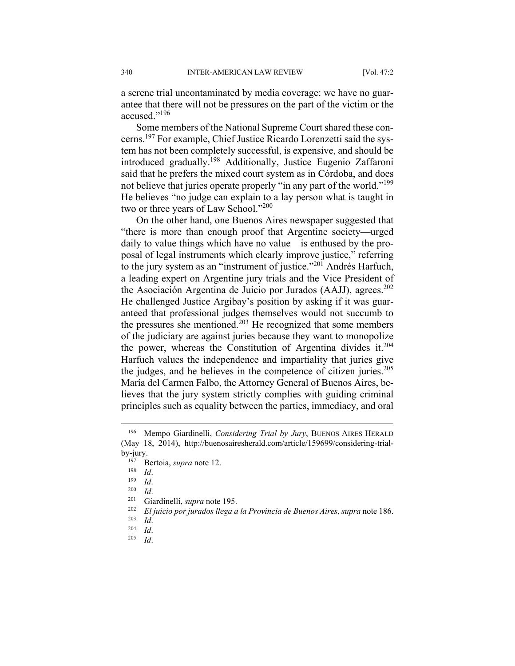a serene trial uncontaminated by media coverage: we have no guarantee that there will not be pressures on the part of the victim or the accused."196

Some members of the National Supreme Court shared these concerns.197 For example, Chief Justice Ricardo Lorenzetti said the system has not been completely successful, is expensive, and should be introduced gradually.198 Additionally, Justice Eugenio Zaffaroni said that he prefers the mixed court system as in Córdoba, and does not believe that juries operate properly "in any part of the world."<sup>199</sup> He believes "no judge can explain to a lay person what is taught in two or three years of Law School."<sup>200</sup>

On the other hand, one Buenos Aires newspaper suggested that "there is more than enough proof that Argentine society—urged daily to value things which have no value—is enthused by the proposal of legal instruments which clearly improve justice," referring to the jury system as an "instrument of justice."201 Andrés Harfuch, a leading expert on Argentine jury trials and the Vice President of the Asociación Argentina de Juicio por Jurados (AAJJ), agrees.<sup>202</sup> He challenged Justice Argibay's position by asking if it was guaranteed that professional judges themselves would not succumb to the pressures she mentioned.203 He recognized that some members of the judiciary are against juries because they want to monopolize the power, whereas the Constitution of Argentina divides it.<sup>204</sup> Harfuch values the independence and impartiality that juries give the judges, and he believes in the competence of citizen juries.<sup>205</sup> María del Carmen Falbo, the Attorney General of Buenos Aires, believes that the jury system strictly complies with guiding criminal principles such as equality between the parties, immediacy, and oral

<sup>196</sup> Mempo Giardinelli, *Considering Trial by Jury*, BUENOS AIRES HERALD (May 18, 2014), http://buenosairesherald.com/article/159699/considering-trialby-jury.<br>
<sup>197</sup> Bertoia, *supra* note 12.<br>
<sup>198</sup> *Id.*<br>
<sup>200</sup> *Id.*<br>
<sup>201</sup> Giardinelli, *supra* note 195.<br>
<sup>202</sup> *El juicio por jurados llega a la Provincia de Buenos Aires, supra* note 186.<br>
<sup>203</sup> *Id.*<br>
<sup>204</sup> *Id.*<br>
<sup>205</sup>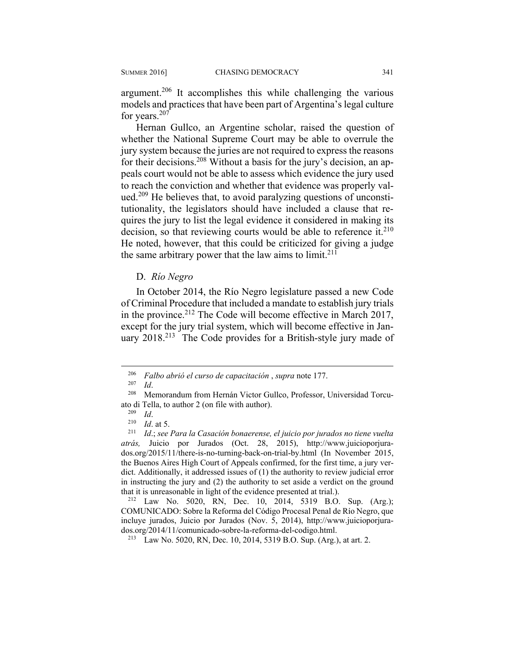argument.<sup>206</sup> It accomplishes this while challenging the various models and practices that have been part of Argentina's legal culture for years.<sup>207</sup>

Hernan Gullco, an Argentine scholar, raised the question of whether the National Supreme Court may be able to overrule the jury system because the juries are not required to express the reasons for their decisions.<sup>208</sup> Without a basis for the jury's decision, an appeals court would not be able to assess which evidence the jury used to reach the conviction and whether that evidence was properly valued.<sup>209</sup> He believes that, to avoid paralyzing questions of unconstitutionality, the legislators should have included a clause that requires the jury to list the legal evidence it considered in making its decision, so that reviewing courts would be able to reference it. $210$ He noted, however, that this could be criticized for giving a judge the same arbitrary power that the law aims to limit.<sup>211</sup>

D. *Río Negro* 

In October 2014, the Río Negro legislature passed a new Code of Criminal Procedure that included a mandate to establish jury trials in the province.<sup>212</sup> The Code will become effective in March 2017, except for the jury trial system, which will become effective in January 2018.<sup>213</sup> The Code provides for a British-style jury made of

<u>.</u>

COMUNICADO: Sobre la Reforma del Código Procesal Penal de Río Negro, que incluye jurados, Juicio por Jurados (Nov. 5, 2014), http://www.juicioporjurados.org/2014/11/comunicado-sobre-la-reforma-del-codigo.html. 213 Law No. 5020, RN, Dec. 10, 2014, 5319 B.O. Sup. (Arg.), at art. 2.

<sup>206</sup> *Falbo abrió el curso de capacitación* , *supra* note 177.

<sup>207</sup> *Id*. 208 Memorandum from Hernán Victor Gullco, Professor, Universidad Torcuato di Tella, to author 2 (on file with author).<br><sup>209</sup> *Id.*<br><sup>210</sup> *Id.*; *see Para la Casación bonaerense, el juicio por jurados no tiene vuelta* <sup>211</sup> *Id.*; *see Para la Casación bonaerense, el juicio por jurados no tie* 

*atrás,* Juicio por Jurados (Oct. 28, 2015), http://www.juicioporjurados.org/2015/11/there-is-no-turning-back-on-trial-by.html (In November 2015, the Buenos Aires High Court of Appeals confirmed, for the first time, a jury verdict. Additionally, it addressed issues of (1) the authority to review judicial error in instructing the jury and (2) the authority to set aside a verdict on the ground that it is unreasonable in light of the evidence presented at trial.).<br><sup>212</sup> Law No. 5020, RN, Dec. 10, 2014, 5319 B.O. Sup. (Arg.);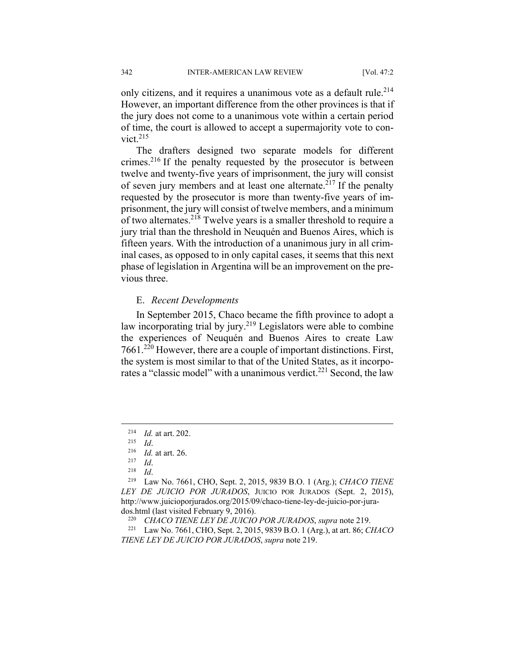only citizens, and it requires a unanimous vote as a default rule.<sup>214</sup> However, an important difference from the other provinces is that if the jury does not come to a unanimous vote within a certain period of time, the court is allowed to accept a supermajority vote to convict. $215$ 

The drafters designed two separate models for different crimes.216 If the penalty requested by the prosecutor is between twelve and twenty-five years of imprisonment, the jury will consist of seven jury members and at least one alternate.<sup>217</sup> If the penalty requested by the prosecutor is more than twenty-five years of imprisonment, the jury will consist of twelve members, and a minimum of two alternates.218 Twelve years is a smaller threshold to require a jury trial than the threshold in Neuquén and Buenos Aires, which is fifteen years. With the introduction of a unanimous jury in all criminal cases, as opposed to in only capital cases, it seems that this next phase of legislation in Argentina will be an improvement on the previous three.

#### E. *Recent Developments*

In September 2015, Chaco became the fifth province to adopt a law incorporating trial by jury.<sup>219</sup> Legislators were able to combine the experiences of Neuquén and Buenos Aires to create Law 7661.220 However, there are a couple of important distinctions. First, the system is most similar to that of the United States, as it incorporates a "classic model" with a unanimous verdict.<sup>221</sup> Second, the law

<sup>214</sup> *Id.* at art. 202. 215 *Id*. 216 *Id.* at art. 26. 217 *Id*. 218 *Id*. 219 Law No. 7661, CHO, Sept. 2, 2015, 9839 B.O. 1 (Arg.); *CHACO TIENE LEY DE JUICIO POR JURADOS*, JUICIO POR JURADOS (Sept. 2, 2015), http://www.juicioporjurados.org/2015/09/chaco-tiene-ley-de-juicio-por-jura-

dos.html (last visited February 9, 2016).<br><sup>220</sup> *CHACO TIENE LEY DE JUICIO POR JURADOS*, *supra* note 219.<br><sup>221</sup> Law No. 7661, CHO, Sept. 2, 2015, 9839 B.O. 1 (Arg.), at art. 86; *CHACO TIENE LEY DE JUICIO POR JURADOS*, *supra* note 219.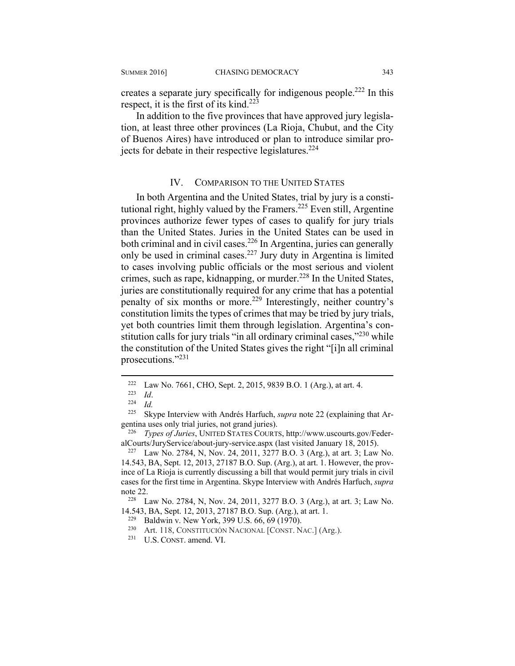creates a separate jury specifically for indigenous people.<sup>222</sup> In this respect, it is the first of its kind.<sup>223</sup>

In addition to the five provinces that have approved jury legislation, at least three other provinces (La Rioja, Chubut, and the City of Buenos Aires) have introduced or plan to introduce similar projects for debate in their respective legislatures.<sup>224</sup>

#### IV. COMPARISON TO THE UNITED STATES

In both Argentina and the United States, trial by jury is a constitutional right, highly valued by the Framers.<sup>225</sup> Even still, Argentine provinces authorize fewer types of cases to qualify for jury trials than the United States. Juries in the United States can be used in both criminal and in civil cases.<sup>226</sup> In Argentina, juries can generally only be used in criminal cases.227 Jury duty in Argentina is limited to cases involving public officials or the most serious and violent crimes, such as rape, kidnapping, or murder.<sup>228</sup> In the United States, juries are constitutionally required for any crime that has a potential penalty of six months or more.229 Interestingly, neither country's constitution limits the types of crimes that may be tried by jury trials, yet both countries limit them through legislation. Argentina's constitution calls for jury trials "in all ordinary criminal cases,"<sup>230</sup> while the constitution of the United States gives the right "[i]n all criminal prosecutions."<sup>231</sup>

<sup>222</sup> Law No. 7661, CHO, Sept. 2, 2015, 9839 B.O. 1 (Arg.), at art. 4.<br>
<sup>223</sup> *Id.* <sup>225</sup> Skyne Interview with Andrés Harfuch, *supra* note 22 (explaining

Skype Interview with Andrés Harfuch, *supra* note 22 (explaining that Argentina uses only trial juries, not grand juries). 226 *Types of Juries*, UNITED STATES COURTS, http://www.uscourts.gov/Feder-

alCourts/JuryService/about-jury-service.aspx (last visited January 18, 2015). 227 Law No. 2784, N, Nov. 24, 2011, 3277 B.O. 3 (Arg.), at art. 3; Law No.

<sup>14.543,</sup> BA, Sept. 12, 2013, 27187 B.O. Sup. (Arg.), at art. 1. However, the province of La Rioja is currently discussing a bill that would permit jury trials in civil cases for the first time in Argentina. Skype Interview with Andrés Harfuch, *supra* note 22.<br><sup>228</sup> Law No. 2784, N, Nov. 24, 2011, 3277 B.O. 3 (Arg.), at art. 3; Law No.

<sup>14.543,</sup> BA, Sept. 12, 2013, 27187 B.O. Sup. (Arg.), at art. 1.<br><sup>229</sup> Baldwin v. New York, 399 U.S. 66, 69 (1970).<br><sup>230</sup> Art. 118, CONSTITUCIÓN NACIONAL [CONST. NAC.] (Arg.).

<sup>231</sup> U.S. CONST. amend. VI.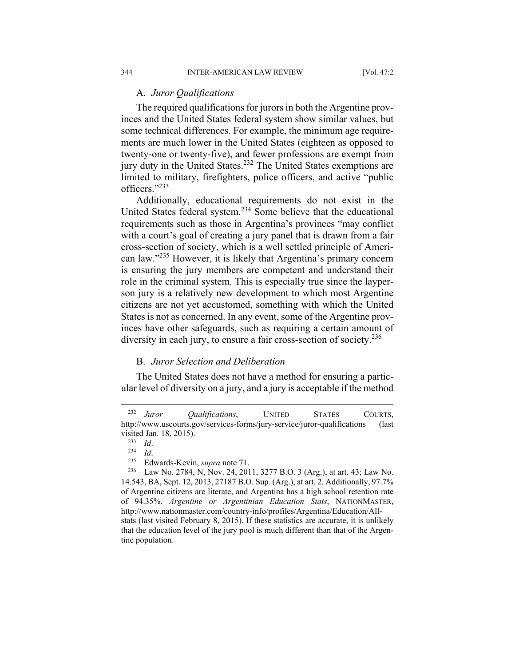#### A. *Juror Qualifications*

The required qualifications for jurors in both the Argentine provinces and the United States federal system show similar values, but some technical differences. For example, the minimum age requirements are much lower in the United States (eighteen as opposed to twenty-one or twenty-five), and fewer professions are exempt from jury duty in the United States.<sup>232</sup> The United States exemptions are limited to military, firefighters, police officers, and active "public officers."233

Additionally, educational requirements do not exist in the United States federal system.234 Some believe that the educational requirements such as those in Argentina's provinces "may conflict with a court's goal of creating a jury panel that is drawn from a fair cross-section of society, which is a well settled principle of American law."235 However, it is likely that Argentina's primary concern is ensuring the jury members are competent and understand their role in the criminal system. This is especially true since the layperson jury is a relatively new development to which most Argentine citizens are not yet accustomed, something with which the United States is not as concerned. In any event, some of the Argentine provinces have other safeguards, such as requiring a certain amount of diversity in each jury, to ensure a fair cross-section of society.<sup>236</sup>

#### B. *Juror Selection and Deliberation*

The United States does not have a method for ensuring a particular level of diversity on a jury, and a jury is acceptable if the method

<sup>232</sup> *Juror Qualifications*, UNITED STATES COURTS, http://www.uscourts.gov/services-forms/jury-service/juror-qualifications (last visited Jan. 18, 2015).<br><sup>233</sup> *Id.*<br><sup>234</sup> *Id.* 234 *Id.* 235 Edwards-Kevin, *supra* note 71.<br><sup>236</sup> Law No. 2784, N, Nov. 24, 2011, 3277 B.O. 3 (Arg.), at art. 43; Law No.

<sup>14.543,</sup> BA, Sept. 12, 2013, 27187 B.O. Sup. (Arg.), at art. 2. Additionally, 97.7% of Argentine citizens are literate, and Argentina has a high school retention rate of 94.35%. *Argentine or Argentinian Education Stats*, NATIONMASTER, http://www.nationmaster.com/country-info/profiles/Argentina/Education/Allstats (last visited February 8, 2015). If these statistics are accurate, it is unlikely that the education level of the jury pool is much different than that of the Argentine population.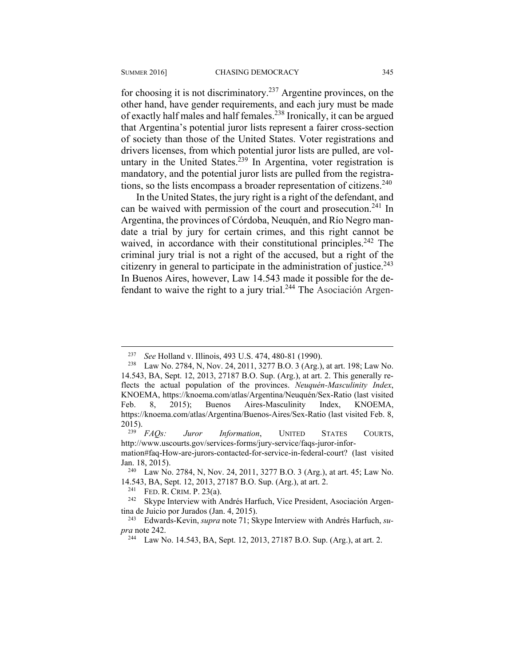$\overline{a}$ 

for choosing it is not discriminatory.<sup>237</sup> Argentine provinces, on the other hand, have gender requirements, and each jury must be made of exactly half males and half females.238 Ironically, it can be argued that Argentina's potential juror lists represent a fairer cross-section of society than those of the United States. Voter registrations and drivers licenses, from which potential juror lists are pulled, are voluntary in the United States.<sup>239</sup> In Argentina, voter registration is mandatory, and the potential juror lists are pulled from the registrations, so the lists encompass a broader representation of citizens.<sup>240</sup>

In the United States, the jury right is a right of the defendant, and can be waived with permission of the court and prosecution.<sup>241</sup> In Argentina, the provinces of Córdoba, Neuquén, and Río Negro mandate a trial by jury for certain crimes, and this right cannot be waived, in accordance with their constitutional principles.<sup>242</sup> The criminal jury trial is not a right of the accused, but a right of the citizenry in general to participate in the administration of justice. $243$ In Buenos Aires, however, Law 14.543 made it possible for the defendant to waive the right to a jury trial.<sup>244</sup> The Asociación Argen-

<sup>&</sup>lt;sup>237</sup> *See* Holland v. Illinois, 493 U.S. 474, 480-81 (1990).<br><sup>238</sup> Law No. 2784, N, Nov. 24, 2011, 3277 B.O. 3 (Arg.), at art. 198; Law No. 14.543, BA, Sept. 12, 2013, 27187 B.O. Sup. (Arg.), at art. 2. This generally reflects the actual population of the provinces. *Neuquén-Masculinity Index*, KNOEMA, https://knoema.com/atlas/Argentina/Neuquén/Sex-Ratio (last visited Feb. 8, 2015); Buenos Aires-Masculinity Index, KNOEMA, https://knoema.com/atlas/Argentina/Buenos-Aires/Sex-Ratio (last visited Feb. 8,

<sup>2015). 239</sup> *FAQs: Juror Information*, UNITED STATES COURTS, http://www.uscourts.gov/services-forms/jury-service/faqs-juror-infor-

mation#faq-How-are-jurors-contacted-for-service-in-federal-court? (last visited Jan. 18, 2015).<br><sup>240</sup> Law No. 2784, N, Nov. 24, 2011, 3277 B.O. 3 (Arg.), at art. 45; Law No.

<sup>14.543,</sup> BA, Sept. 12, 2013, 27187 B.O. Sup. (Arg.), at art. 2.<br><sup>241</sup> FED. R. CRIM. P. 23(a). <sup>242</sup> Skype Interview with Andrés Harfuch, Vice President, Asociación Argen-

tina de Juicio por Jurados (Jan. 4, 2015). 243 Edwards-Kevin, *supra* note 71; Skype Interview with Andrés Harfuch, *su-*

*pra* note 242.<br><sup>244</sup> Law No. 14.543, BA, Sept. 12, 2013, 27187 B.O. Sup. (Arg.), at art. 2.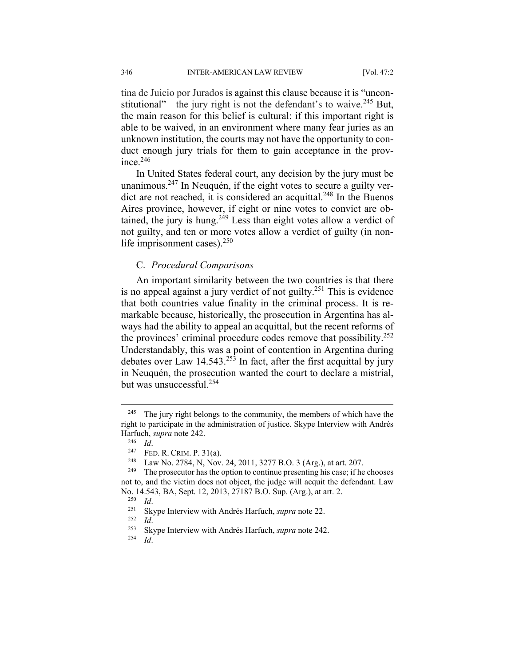tina de Juicio por Jurados is against this clause because it is "unconstitutional"—the jury right is not the defendant's to waive.<sup>245</sup> But, the main reason for this belief is cultural: if this important right is able to be waived, in an environment where many fear juries as an unknown institution, the courts may not have the opportunity to conduct enough jury trials for them to gain acceptance in the province.246

In United States federal court, any decision by the jury must be unanimous.<sup>247</sup> In Neuguén, if the eight votes to secure a guilty verdict are not reached, it is considered an acquittal.<sup>248</sup> In the Buenos Aires province, however, if eight or nine votes to convict are obtained, the jury is hung.<sup>249</sup> Less than eight votes allow a verdict of not guilty, and ten or more votes allow a verdict of guilty (in nonlife imprisonment cases).<sup>250</sup>

#### C. *Procedural Comparisons*

An important similarity between the two countries is that there is no appeal against a jury verdict of not guilty.251 This is evidence that both countries value finality in the criminal process. It is remarkable because, historically, the prosecution in Argentina has always had the ability to appeal an acquittal, but the recent reforms of the provinces' criminal procedure codes remove that possibility.<sup>252</sup> Understandably, this was a point of contention in Argentina during debates over Law 14.543.<sup>253</sup> In fact, after the first acquittal by jury in Neuquén, the prosecution wanted the court to declare a mistrial, but was unsuccessful.<sup>254</sup>

1

<sup>&</sup>lt;sup>245</sup> The jury right belongs to the community, the members of which have the right to participate in the administration of justice. Skype Interview with Andrés Harfuch, *supra* note 242.<br><sup>246</sup> *Id*.<br><sup>247</sup> FED. R. CRIM. P. 31(a).<br><sup>248</sup> Law No. 2784, N, Nov. 24, 2011, 3277 B.O. 3 (Arg.), at art. 207.<br><sup>249</sup> The prosecutor has the option to continue presenting his case; if he chooses

not to, and the victim does not object, the judge will acquit the defendant. Law No. 14.543, BA, Sept. 12, 2013, 27187 B.O. Sup. (Arg.), at art. 2.<br>
<sup>250</sup> *Id.*<br>
Skype Interview with Andrés Harfuch, *supra* note 22.<br>
<sup>252</sup> *Id.*<br>
<sup>253</sup> Skype Interview with Andrés Harfuch, *supra* note 242.<br>
<sup>254</sup> *Id.*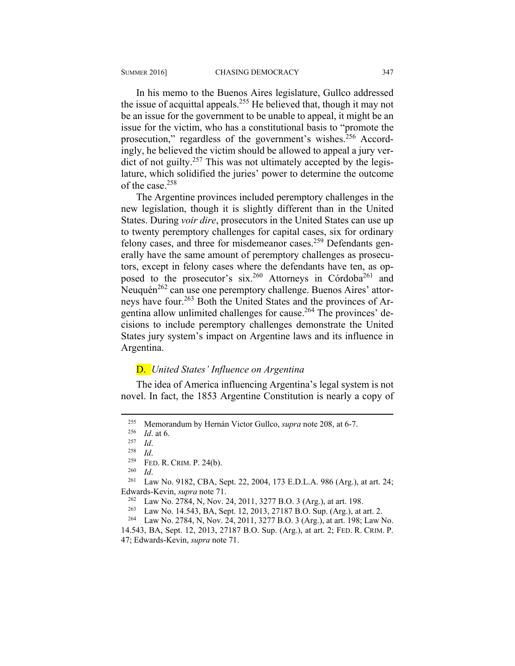In his memo to the Buenos Aires legislature, Gullco addressed the issue of acquittal appeals.<sup>255</sup> He believed that, though it may not be an issue for the government to be unable to appeal, it might be an issue for the victim, who has a constitutional basis to "promote the prosecution," regardless of the government's wishes.<sup>256</sup> Accordingly, he believed the victim should be allowed to appeal a jury verdict of not guilty.<sup>257</sup> This was not ultimately accepted by the legislature, which solidified the juries' power to determine the outcome of the case.258

The Argentine provinces included peremptory challenges in the new legislation, though it is slightly different than in the United States. During *voir dire*, prosecutors in the United States can use up to twenty peremptory challenges for capital cases, six for ordinary felony cases, and three for misdemeanor cases.<sup>259</sup> Defendants generally have the same amount of peremptory challenges as prosecutors, except in felony cases where the defendants have ten, as opposed to the prosecutor's six.<sup>260</sup> Attorneys in Córdoba<sup>261</sup> and Neuquén<sup>262</sup> can use one peremptory challenge. Buenos Aires' attorneys have four.263 Both the United States and the provinces of Argentina allow unlimited challenges for cause.264 The provinces' decisions to include peremptory challenges demonstrate the United States jury system's impact on Argentine laws and its influence in Argentina.

#### D. *United States' Influence on Argentina*

The idea of America influencing Argentina's legal system is not novel. In fact, the 1853 Argentine Constitution is nearly a copy of

<sup>&</sup>lt;sup>255</sup> Memorandum by Hernán Victor Gullco, *supra* note 208, at 6-7.<br>
<sup>256</sup> *Id.* at 6.<br>
<sup>257</sup> *Id.*<br>
<sup>258</sup> *Id.*<br>
<sup>259</sup> FED. R. CRIM. P. 24(b).<br>
<sup>260</sup> *Id.*<br>
<sup>260</sup> *Id.*<br>
<sup>260</sup> *Id.*<br>
<sup>261</sup> Law No. 9182, CBA, Sept. 22, 20 Edwards-Kevin, *supra* note 71.<br><sup>262</sup> Law No. 2784, N, Nov. 24, 2011, 3277 B.O. 3 (Arg.), at art. 198.<br><sup>263</sup> Law No. 14.543, BA, Sept. 12, 2013, 27187 B.O. Sup. (Arg.), at art. 2.<br><sup>264</sup> Law No. 2784, N, Nov. 24, 2011, 3277

<sup>14.543,</sup> BA, Sept. 12, 2013, 27187 B.O. Sup. (Arg.), at art. 2; FED. R. CRIM. P. 47; Edwards-Kevin, *supra* note 71.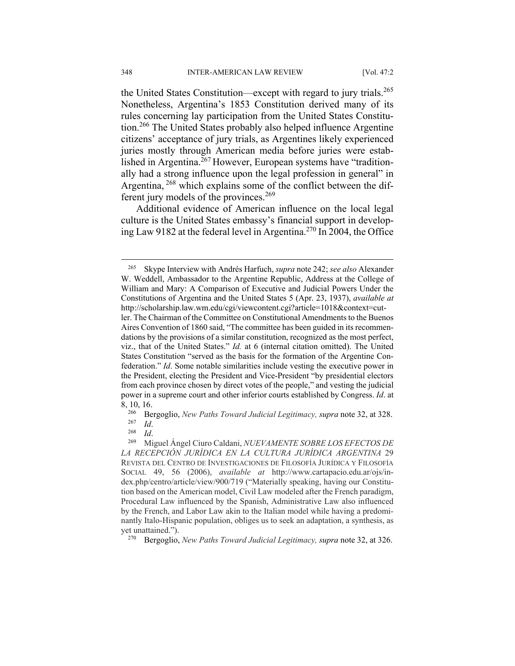the United States Constitution—except with regard to jury trials.<sup>265</sup> Nonetheless, Argentina's 1853 Constitution derived many of its rules concerning lay participation from the United States Constitution.266 The United States probably also helped influence Argentine citizens' acceptance of jury trials, as Argentines likely experienced juries mostly through American media before juries were established in Argentina.<sup>267</sup> However, European systems have "traditionally had a strong influence upon the legal profession in general" in Argentina, <sup>268</sup> which explains some of the conflict between the different jury models of the provinces.<sup>269</sup>

Additional evidence of American influence on the local legal culture is the United States embassy's financial support in developing Law 9182 at the federal level in Argentina.270 In 2004, the Office

270 Bergoglio, *New Paths Toward Judicial Legitimacy, supra* note 32, at 326.

<sup>265</sup> Skype Interview with Andrés Harfuch, *supra* note 242; *see also* Alexander W. Weddell, Ambassador to the Argentine Republic, Address at the College of William and Mary: A Comparison of Executive and Judicial Powers Under the Constitutions of Argentina and the United States 5 (Apr. 23, 1937), *available at* http://scholarship.law.wm.edu/cgi/viewcontent.cgi?article=1018&context=cut-

ler. The Chairman of the Committee on Constitutional Amendments to the Buenos Aires Convention of 1860 said, "The committee has been guided in its recommendations by the provisions of a similar constitution, recognized as the most perfect, viz., that of the United States." *Id.* at 6 (internal citation omitted). The United States Constitution "served as the basis for the formation of the Argentine Confederation." *Id*. Some notable similarities include vesting the executive power in the President, electing the President and Vice-President "by presidential electors from each province chosen by direct votes of the people," and vesting the judicial power in a supreme court and other inferior courts established by Congress. *Id*. at

<sup>8, 10, 16.&</sup>lt;br><sup>266</sup> Bergoglio, *New Paths Toward Judicial Legitimacy, supra* note 32, at 328.<br><sup>269</sup> *Id.* 268 *Id.* 269 Miguel Ángel Ciuro Caldani, *NUEVAMENTE SOBRE LOS EFECTOS DE* 

*LA RECEPCIÓN JURÍDICA EN LA CULTURA JURÍDICA ARGENTINA* 29 REVISTA DEL CENTRO DE INVESTIGACIONES DE FILOSOFÍA JURÍDICA Y FILOSOFÍA SOCIAL 49, 56 (2006), *available at* http://www.cartapacio.edu.ar/ojs/index.php/centro/article/view/900/719 ("Materially speaking, having our Constitution based on the American model, Civil Law modeled after the French paradigm, Procedural Law influenced by the Spanish, Administrative Law also influenced by the French, and Labor Law akin to the Italian model while having a predominantly Italo-Hispanic population, obliges us to seek an adaptation, a synthesis, as yet unattained.").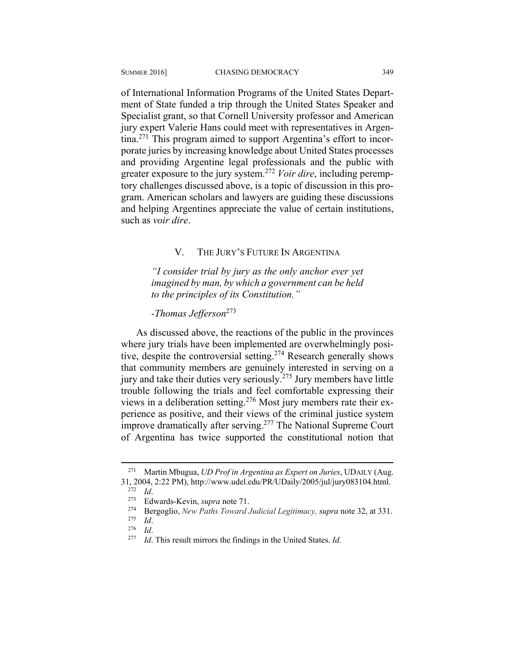of International Information Programs of the United States Department of State funded a trip through the United States Speaker and Specialist grant, so that Cornell University professor and American jury expert Valerie Hans could meet with representatives in Argentina.271 This program aimed to support Argentina's effort to incorporate juries by increasing knowledge about United States processes and providing Argentine legal professionals and the public with greater exposure to the jury system.<sup>272</sup> *Voir dire*, including peremptory challenges discussed above, is a topic of discussion in this program. American scholars and lawyers are guiding these discussions and helping Argentines appreciate the value of certain institutions, such as *voir dire*.

#### V. THE JURY'S FUTURE IN ARGENTINA

*"I consider trial by jury as the only anchor ever yet imagined by man, by which a government can be held to the principles of its Constitution."* 

### *-Thomas Jefferson*<sup>273</sup>

As discussed above, the reactions of the public in the provinces where jury trials have been implemented are overwhelmingly positive, despite the controversial setting.274 Research generally shows that community members are genuinely interested in serving on a jury and take their duties very seriously.275 Jury members have little trouble following the trials and feel comfortable expressing their views in a deliberation setting.276 Most jury members rate their experience as positive, and their views of the criminal justice system improve dramatically after serving.277 The National Supreme Court of Argentina has twice supported the constitutional notion that

1

<sup>271</sup> Martin Mbugua, *UD Prof in Argentina as Expert on Juries*, UDAILY (Aug. 31, 2004, 2:22 PM), http://www.udel.edu/PR/UDaily/2005/jul/jury083104.html.<br>
<sup>272</sup> *Id.*<br>
Edwards-Kevin, *supra* note 71.<br>
<sup>274</sup> Bergoglio, *New Paths Toward Judicial Legitimacy, supra* note 32, at 331.<br>
<sup>275</sup> *Id.*<br>
<sup>276</sup>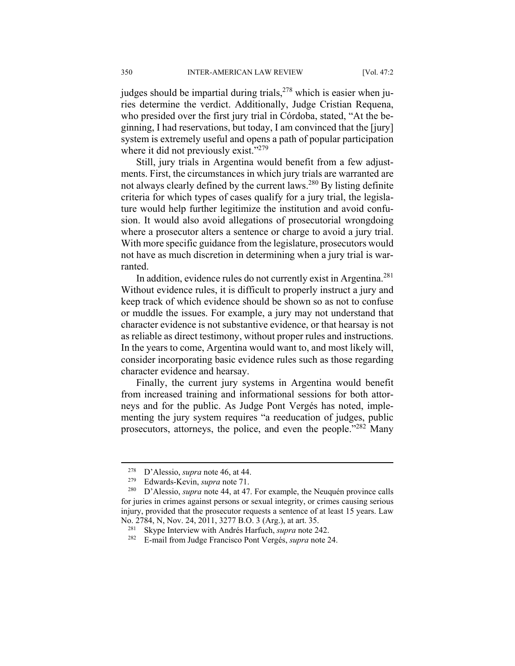judges should be impartial during trials,  $278$  which is easier when juries determine the verdict. Additionally, Judge Cristian Requena, who presided over the first jury trial in Córdoba, stated, "At the beginning, I had reservations, but today, I am convinced that the [jury] system is extremely useful and opens a path of popular participation where it did not previously exist."<sup>279</sup>

Still, jury trials in Argentina would benefit from a few adjustments. First, the circumstances in which jury trials are warranted are not always clearly defined by the current laws.280 By listing definite criteria for which types of cases qualify for a jury trial, the legislature would help further legitimize the institution and avoid confusion. It would also avoid allegations of prosecutorial wrongdoing where a prosecutor alters a sentence or charge to avoid a jury trial. With more specific guidance from the legislature, prosecutors would not have as much discretion in determining when a jury trial is warranted.

In addition, evidence rules do not currently exist in Argentina.281 Without evidence rules, it is difficult to properly instruct a jury and keep track of which evidence should be shown so as not to confuse or muddle the issues. For example, a jury may not understand that character evidence is not substantive evidence, or that hearsay is not as reliable as direct testimony, without proper rules and instructions. In the years to come, Argentina would want to, and most likely will, consider incorporating basic evidence rules such as those regarding character evidence and hearsay.

Finally, the current jury systems in Argentina would benefit from increased training and informational sessions for both attorneys and for the public. As Judge Pont Vergés has noted, implementing the jury system requires "a reeducation of judges, public prosecutors, attorneys, the police, and even the people."282 Many

<sup>278</sup> D'Alessio, *supra* note 46, at 44. 279 Edwards-Kevin, *supra* note 71. 280 D'Alessio, *supra* note 44, at 47. For example, the Neuquén province calls for juries in crimes against persons or sexual integrity, or crimes causing serious injury, provided that the prosecutor requests a sentence of at least 15 years. Law

No. 2784, N, Nov. 24, 2011, 3277 B.O. 3 (Arg.), at art. 35. 281 Skype Interview with Andrés Harfuch, *supra* note 242. 282 E-mail from Judge Francisco Pont Vergés, *supra* note 24.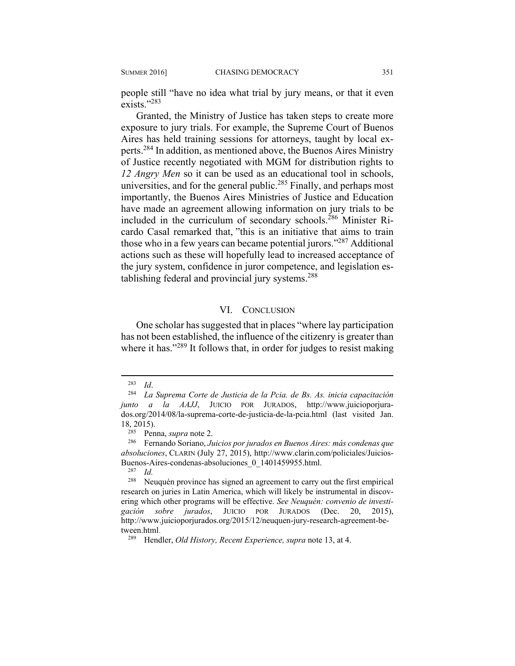people still "have no idea what trial by jury means, or that it even exists<sup>"283</sup>

Granted, the Ministry of Justice has taken steps to create more exposure to jury trials. For example, the Supreme Court of Buenos Aires has held training sessions for attorneys, taught by local experts.284 In addition, as mentioned above, the Buenos Aires Ministry of Justice recently negotiated with MGM for distribution rights to *12 Angry Men* so it can be used as an educational tool in schools, universities, and for the general public.<sup>285</sup> Finally, and perhaps most importantly, the Buenos Aires Ministries of Justice and Education have made an agreement allowing information on jury trials to be included in the curriculum of secondary schools.<sup>286</sup> Minister Ricardo Casal remarked that, "this is an initiative that aims to train those who in a few years can became potential jurors."287 Additional actions such as these will hopefully lead to increased acceptance of the jury system, confidence in juror competence, and legislation establishing federal and provincial jury systems.<sup>288</sup>

#### VI. CONCLUSION

One scholar has suggested that in places "where lay participation has not been established, the influence of the citizenry is greater than where it has."<sup>289</sup> It follows that, in order for judges to resist making

<sup>283</sup> *Id*. 284 *La Suprema Corte de Justicia de la Pcia. de Bs. As. inicia capacitación junto a la AAJJ*, JUICIO POR JURADOS, http://www.juicioporjurados.org/2014/08/la-suprema-corte-de-justicia-de-la-pcia.html (last visited Jan.  $18, 2015$ ).

<sup>285</sup> Penna, *supra* note 2. 286 Fernando Soriano, *Juicios por jurados en Buenos Aires: más condenas que absoluciones*, CLARIN (July 27, 2015), http://www.clarin.com/policiales/Juicios-Buenos-Aires-condenas-absoluciones\_0\_1401459955.html.<br><sup>287</sup> *Id.*<br><sup>288</sup> Neuguén province has signed an agreement to carry of

Neuquén province has signed an agreement to carry out the first empirical research on juries in Latin America, which will likely be instrumental in discovering which other programs will be effective. *See Neuquén: convenio de investigación sobre jurados*, JUICIO POR JURADOS (Dec. 20, 2015), http://www.juicioporjurados.org/2015/12/neuquen-jury-research-agreement-between.html.

<sup>289</sup> Hendler, *Old History, Recent Experience, supra* note 13, at 4.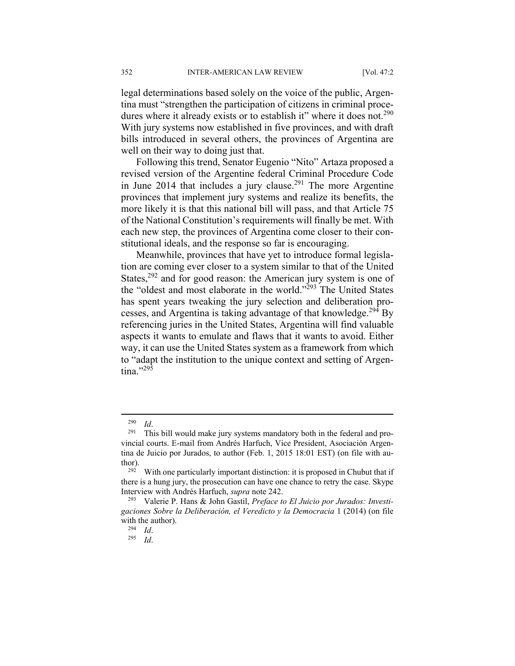legal determinations based solely on the voice of the public, Argentina must "strengthen the participation of citizens in criminal procedures where it already exists or to establish it" where it does not.<sup>290</sup> With jury systems now established in five provinces, and with draft bills introduced in several others, the provinces of Argentina are well on their way to doing just that.

Following this trend, Senator Eugenio "Nito" Artaza proposed a revised version of the Argentine federal Criminal Procedure Code in June 2014 that includes a jury clause.<sup>291</sup> The more Argentine provinces that implement jury systems and realize its benefits, the more likely it is that this national bill will pass, and that Article 75 of the National Constitution's requirements will finally be met. With each new step, the provinces of Argentina come closer to their constitutional ideals, and the response so far is encouraging.

Meanwhile, provinces that have yet to introduce formal legislation are coming ever closer to a system similar to that of the United States,<sup>292</sup> and for good reason: the American jury system is one of the "oldest and most elaborate in the world."<sup>293</sup> The United States has spent years tweaking the jury selection and deliberation processes, and Argentina is taking advantage of that knowledge.<sup>294</sup> By referencing juries in the United States, Argentina will find valuable aspects it wants to emulate and flaws that it wants to avoid. Either way, it can use the United States system as a framework from which to "adapt the institution to the unique context and setting of Argentina."295

<sup>&</sup>lt;sup>290</sup> *Id.* 291 This bill would make jury systems mandatory both in the federal and provincial courts. E-mail from Andrés Harfuch, Vice President, Asociación Argentina de Juicio por Jurados, to author (Feb. 1, 2015 18:01 EST) (on file with au-

thor).<br><sup>292</sup> With one particularly important distinction: it is proposed in Chubut that if there is a hung jury, the prosecution can have one chance to retry the case. Skype Interview with Andrés Harfuch, *supra* note 242. 293 Valerie P. Hans & John Gastil, *Preface to El Juicio por Jurados: Investi-*

*gaciones Sobre la Deliberación, el Veredicto y la Democracia* 1 (2014) (on file with the author). 294 *Id*. 295 *Id*.